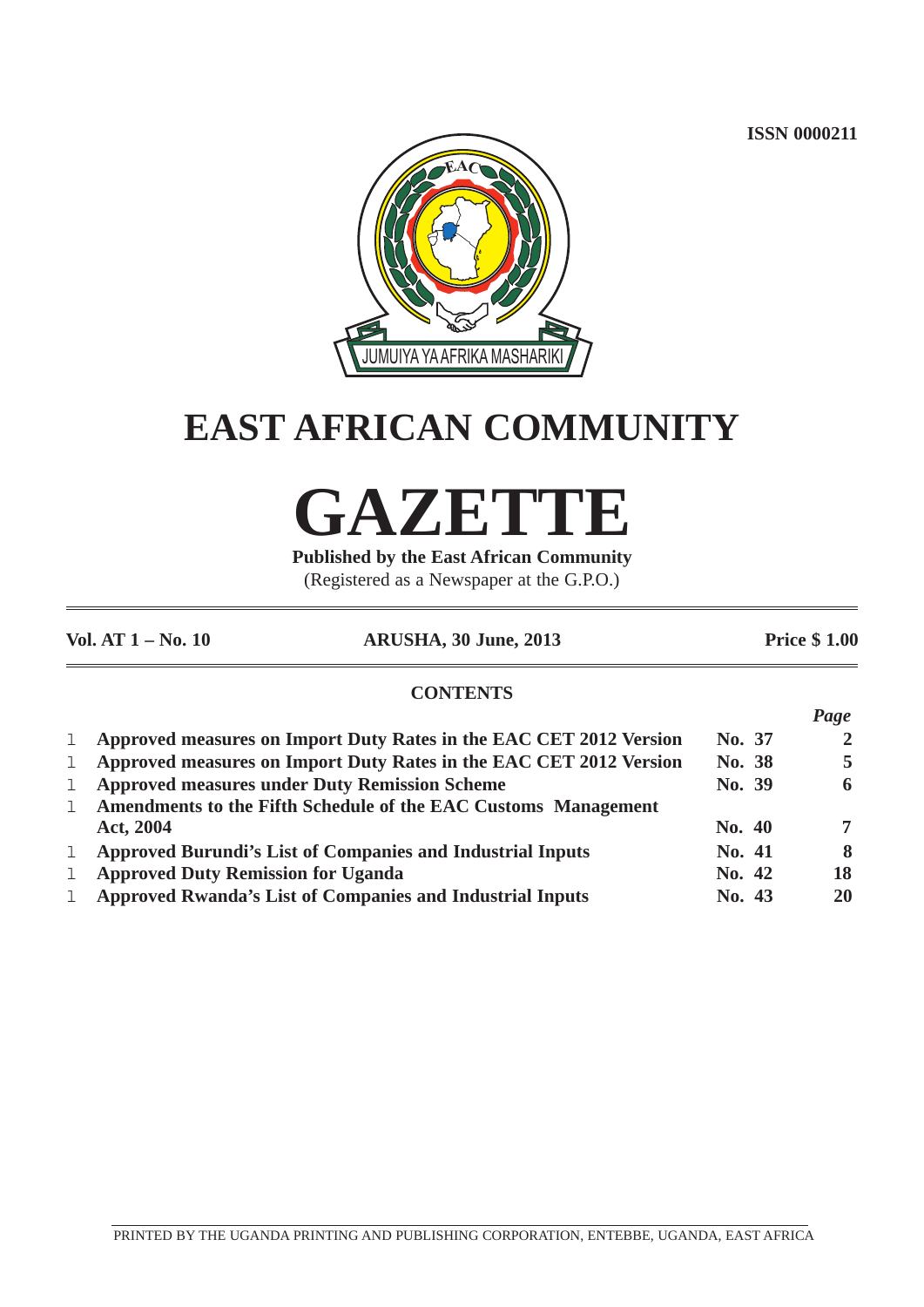**ISSN 0000211**

*Page*



## **EAST AFRICAN COMMUNITY**

# **GAZETTE**

**Published by the East African Community** (Registered as a Newspaper at the G.P.O.)

| Vol. AT 1 – No. 10 | <b>ARUSHA, 30 June, 2013</b> | <b>Price \$1.00</b> |
|--------------------|------------------------------|---------------------|

#### **CONTENTS**

|              |                                                                    |        | 1 uge          |
|--------------|--------------------------------------------------------------------|--------|----------------|
| $\mathbf{1}$ | Approved measures on Import Duty Rates in the EAC CET 2012 Version | No. 37 | $\overline{2}$ |
|              | Approved measures on Import Duty Rates in the EAC CET 2012 Version | No. 38 | 5              |
| $\mathbf{1}$ | <b>Approved measures under Duty Remission Scheme</b>               | No. 39 | 6              |
|              | Amendments to the Fifth Schedule of the EAC Customs Management     |        |                |
|              | Act, 2004                                                          | No. 40 | $\overline{7}$ |
| $\mathbf{1}$ | <b>Approved Burundi's List of Companies and Industrial Inputs</b>  | No. 41 | 8              |
| ı            | <b>Approved Duty Remission for Uganda</b>                          | No. 42 | 18             |
|              | 1 Approved Rwanda's List of Companies and Industrial Inputs        | No. 43 | 20             |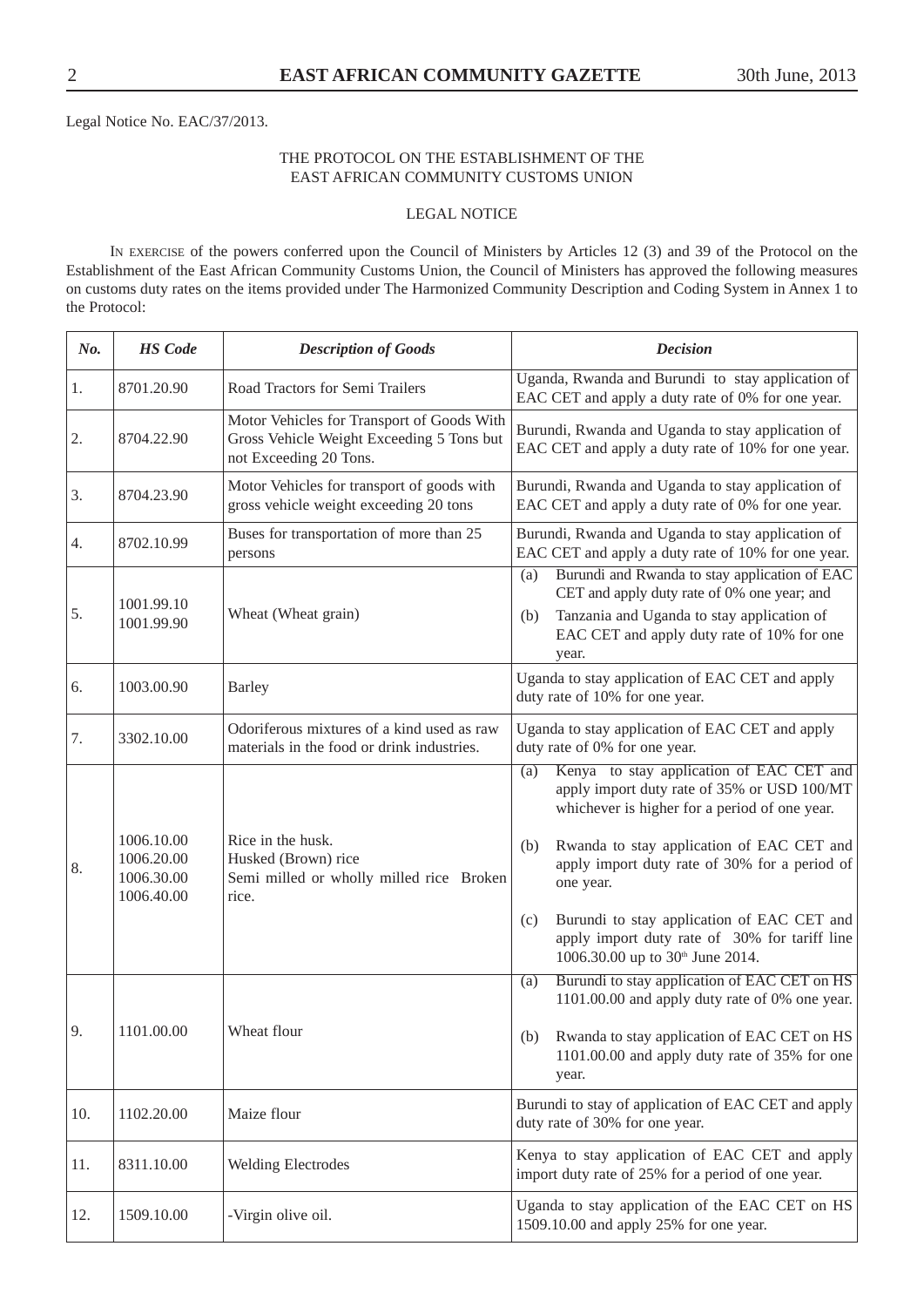Legal Notice No. EAC/37/2013.

#### THE PROTOCOL ON THE ESTABLISHMENT OF THE EAST AFRICAN COMMUNITY CUSTOMS UNION

#### LEGAL NOTICE

IN EXERCISE of the powers conferred upon the Council of Ministers by Articles 12 (3) and 39 of the Protocol on the Establishment of the East African Community Customs Union, the Council of Ministers has approved the following measures on customs duty rates on the items provided under The Harmonized Community Description and Coding System in Annex 1 to the Protocol:

| No. | <b>HS</b> Code                                       | <b>Description of Goods</b>                                                                                       | <b>Decision</b>                                                                                                                                                                                                                                                                                                                                                                                                         |  |
|-----|------------------------------------------------------|-------------------------------------------------------------------------------------------------------------------|-------------------------------------------------------------------------------------------------------------------------------------------------------------------------------------------------------------------------------------------------------------------------------------------------------------------------------------------------------------------------------------------------------------------------|--|
| 1.  | 8701.20.90                                           | Road Tractors for Semi Trailers                                                                                   | Uganda, Rwanda and Burundi to stay application of<br>EAC CET and apply a duty rate of 0% for one year.                                                                                                                                                                                                                                                                                                                  |  |
| 2.  | 8704.22.90                                           | Motor Vehicles for Transport of Goods With<br>Gross Vehicle Weight Exceeding 5 Tons but<br>not Exceeding 20 Tons. | Burundi, Rwanda and Uganda to stay application of<br>EAC CET and apply a duty rate of 10% for one year.                                                                                                                                                                                                                                                                                                                 |  |
| 3.  | 8704.23.90                                           | Motor Vehicles for transport of goods with<br>gross vehicle weight exceeding 20 tons                              | Burundi, Rwanda and Uganda to stay application of<br>EAC CET and apply a duty rate of 0% for one year.                                                                                                                                                                                                                                                                                                                  |  |
| 4.  | 8702.10.99                                           | Buses for transportation of more than 25<br>persons                                                               | Burundi, Rwanda and Uganda to stay application of<br>EAC CET and apply a duty rate of 10% for one year.                                                                                                                                                                                                                                                                                                                 |  |
| 5.  | 1001.99.10<br>1001.99.90                             | Wheat (Wheat grain)                                                                                               | Burundi and Rwanda to stay application of EAC<br>(a)<br>CET and apply duty rate of 0% one year; and<br>Tanzania and Uganda to stay application of<br>(b)<br>EAC CET and apply duty rate of 10% for one<br>year.                                                                                                                                                                                                         |  |
| 6.  | 1003.00.90                                           | <b>Barley</b>                                                                                                     | Uganda to stay application of EAC CET and apply<br>duty rate of 10% for one year.                                                                                                                                                                                                                                                                                                                                       |  |
| 7.  | 3302.10.00                                           | Odoriferous mixtures of a kind used as raw<br>materials in the food or drink industries.                          | Uganda to stay application of EAC CET and apply<br>duty rate of 0% for one year.                                                                                                                                                                                                                                                                                                                                        |  |
| 8.  | 1006.10.00<br>1006.20.00<br>1006.30.00<br>1006.40.00 | Rice in the husk.<br>Husked (Brown) rice<br>Semi milled or wholly milled rice Broken<br>rice.                     | Kenya to stay application of EAC CET and<br>(a)<br>apply import duty rate of 35% or USD 100/MT<br>whichever is higher for a period of one year.<br>Rwanda to stay application of EAC CET and<br>(b)<br>apply import duty rate of 30% for a period of<br>one year.<br>Burundi to stay application of EAC CET and<br>(c)<br>apply import duty rate of 30% for tariff line<br>1006.30.00 up to 30 <sup>th</sup> June 2014. |  |
| У.  | 1101.00.00                                           | Wheat flour                                                                                                       | Burundi to stay application of EAC CET on HS<br>(a)<br>1101.00.00 and apply duty rate of 0% one year.<br>Rwanda to stay application of EAC CET on HS<br>(b)<br>1101.00.00 and apply duty rate of 35% for one<br>year.                                                                                                                                                                                                   |  |
| 10. | 1102.20.00                                           | Maize flour                                                                                                       | Burundi to stay of application of EAC CET and apply<br>duty rate of 30% for one year.                                                                                                                                                                                                                                                                                                                                   |  |
| 11. | 8311.10.00                                           | <b>Welding Electrodes</b>                                                                                         | Kenya to stay application of EAC CET and apply<br>import duty rate of 25% for a period of one year.                                                                                                                                                                                                                                                                                                                     |  |
| 12. | 1509.10.00                                           | -Virgin olive oil.                                                                                                | Uganda to stay application of the EAC CET on HS<br>1509.10.00 and apply 25% for one year.                                                                                                                                                                                                                                                                                                                               |  |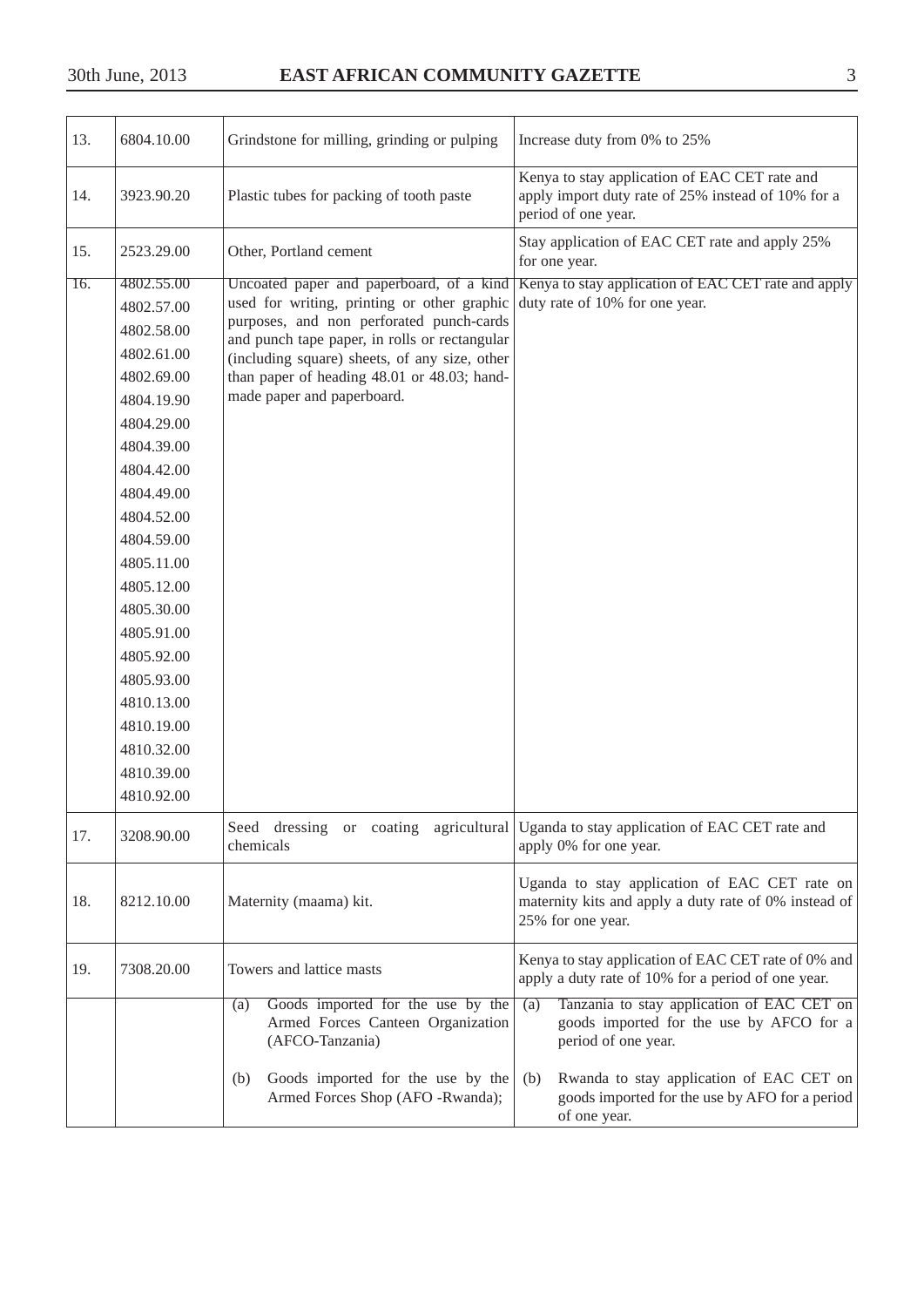| 13.               | 6804.10.00 | Grindstone for milling, grinding or pulping                                                      | Increase duty from 0% to 25%                                                                                                |  |
|-------------------|------------|--------------------------------------------------------------------------------------------------|-----------------------------------------------------------------------------------------------------------------------------|--|
| 14.               | 3923.90.20 | Plastic tubes for packing of tooth paste                                                         | Kenya to stay application of EAC CET rate and<br>apply import duty rate of 25% instead of 10% for a<br>period of one year.  |  |
| 15.               | 2523.29.00 | Other, Portland cement                                                                           | Stay application of EAC CET rate and apply 25%<br>for one year.                                                             |  |
| $\overline{16}$ . | 4802.55.00 | Uncoated paper and paperboard, of a kind                                                         | Kenya to stay application of EAC CET rate and apply                                                                         |  |
|                   | 4802.57.00 | used for writing, printing or other graphic                                                      | duty rate of 10% for one year.                                                                                              |  |
|                   | 4802.58.00 | purposes, and non perforated punch-cards<br>and punch tape paper, in rolls or rectangular        |                                                                                                                             |  |
|                   | 4802.61.00 | (including square) sheets, of any size, other                                                    |                                                                                                                             |  |
|                   | 4802.69.00 | than paper of heading 48.01 or 48.03; hand-                                                      |                                                                                                                             |  |
|                   | 4804.19.90 | made paper and paperboard.                                                                       |                                                                                                                             |  |
|                   | 4804.29.00 |                                                                                                  |                                                                                                                             |  |
|                   | 4804.39.00 |                                                                                                  |                                                                                                                             |  |
|                   | 4804.42.00 |                                                                                                  |                                                                                                                             |  |
|                   | 4804.49.00 |                                                                                                  |                                                                                                                             |  |
|                   | 4804.52.00 |                                                                                                  |                                                                                                                             |  |
|                   | 4804.59.00 |                                                                                                  |                                                                                                                             |  |
|                   | 4805.11.00 |                                                                                                  |                                                                                                                             |  |
|                   | 4805.12.00 |                                                                                                  |                                                                                                                             |  |
|                   | 4805.30.00 |                                                                                                  |                                                                                                                             |  |
|                   | 4805.91.00 |                                                                                                  |                                                                                                                             |  |
|                   | 4805.92.00 |                                                                                                  |                                                                                                                             |  |
|                   | 4805.93.00 |                                                                                                  |                                                                                                                             |  |
|                   | 4810.13.00 |                                                                                                  |                                                                                                                             |  |
|                   | 4810.19.00 |                                                                                                  |                                                                                                                             |  |
|                   | 4810.32.00 |                                                                                                  |                                                                                                                             |  |
|                   | 4810.39.00 |                                                                                                  |                                                                                                                             |  |
|                   | 4810.92.00 |                                                                                                  |                                                                                                                             |  |
| 17.               | 3208.90.00 | Seed dressing or coating agricultural<br>chemicals                                               | Uganda to stay application of EAC CET rate and<br>apply 0% for one year.                                                    |  |
| 18.               | 8212.10.00 | Maternity (maama) kit.                                                                           | Uganda to stay application of EAC CET rate on<br>maternity kits and apply a duty rate of 0% instead of<br>25% for one year. |  |
| 19.               | 7308.20.00 | Towers and lattice masts                                                                         | Kenya to stay application of EAC CET rate of 0% and<br>apply a duty rate of 10% for a period of one year.                   |  |
|                   |            | Goods imported for the use by the<br>(a)<br>Armed Forces Canteen Organization<br>(AFCO-Tanzania) | Tanzania to stay application of EAC CET on<br>(a)<br>goods imported for the use by AFCO for a<br>period of one year.        |  |
|                   |            | Goods imported for the use by the<br>(b)<br>Armed Forces Shop (AFO -Rwanda);                     | Rwanda to stay application of EAC CET on<br>(b)<br>goods imported for the use by AFO for a period<br>of one year.           |  |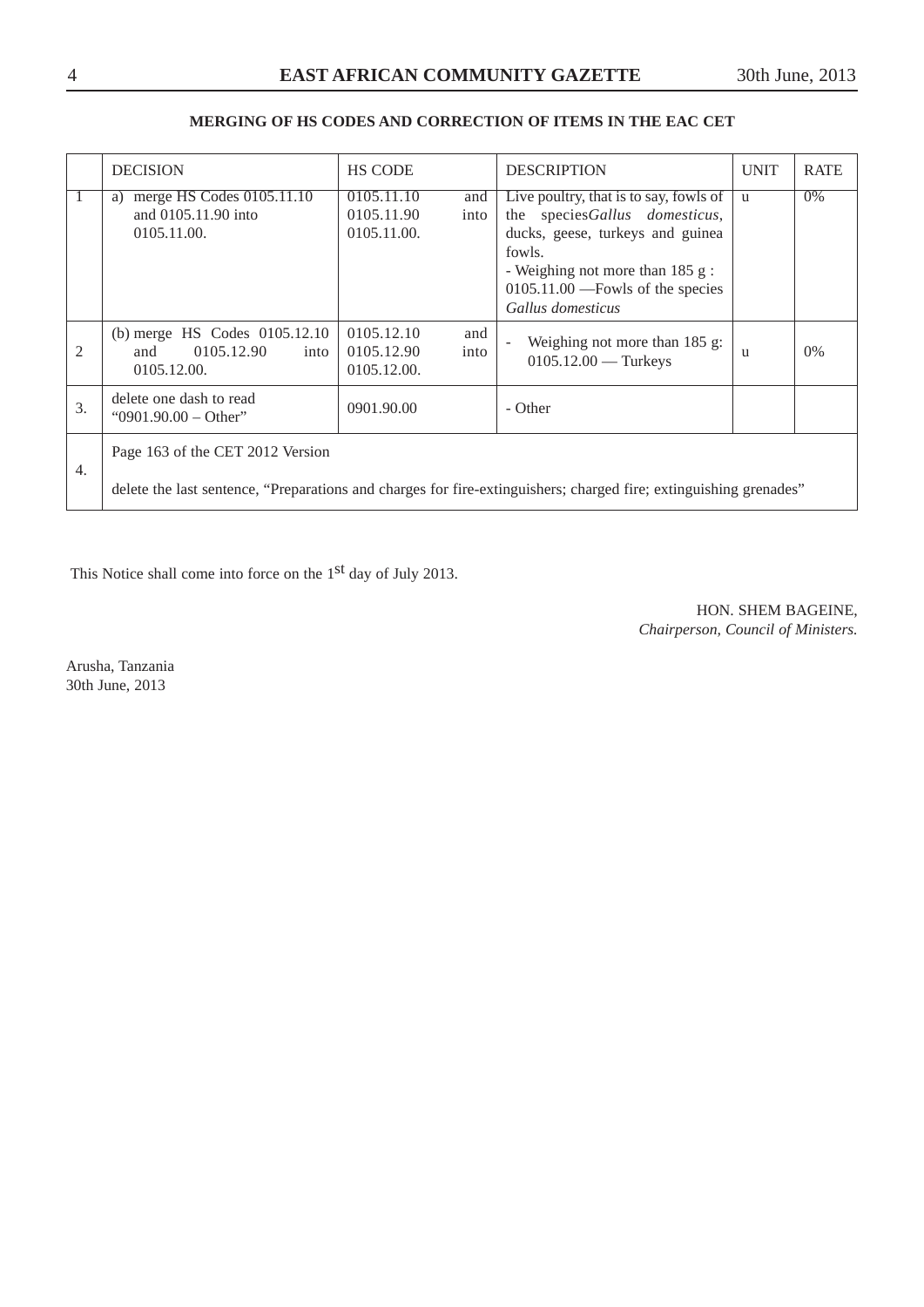#### **MERGING OF HS CODES AND CORRECTION OF ITEMS IN THE EAC CET**

|                  | <b>DECISION</b>                                                           | <b>HS CODE</b>                                         | <b>DESCRIPTION</b>                                                                                                                                                                                                    | <b>UNIT</b>  | <b>RATE</b> |
|------------------|---------------------------------------------------------------------------|--------------------------------------------------------|-----------------------------------------------------------------------------------------------------------------------------------------------------------------------------------------------------------------------|--------------|-------------|
|                  | merge HS Codes 0105.11.10<br>a)<br>and 0105.11.90 into<br>0105.11.00.     | 0105.11.10<br>and<br>0105.11.90<br>into<br>0105.11.00. | Live poultry, that is to say, fowls of<br>the speciesGallus domesticus,<br>ducks, geese, turkeys and guinea<br>fowls.<br>- Weighing not more than 185 g:<br>$0105.11.00$ ---Fowls of the species<br>Gallus domesticus | $\mathbf{u}$ | 0%          |
| $\mathfrak{D}$   | (b) merge HS Codes 0105.12.10<br>0105.12.90<br>and<br>into<br>0105.12.00. | 0105.12.10<br>and<br>0105.12.90<br>into<br>0105.12.00. | Weighing not more than $185$ g:<br>$0105.12.00$ — Turkeys                                                                                                                                                             | u            | $0\%$       |
| 3.               | delete one dash to read<br>"0901.90.00 - Other"                           | 0901.90.00                                             | - Other                                                                                                                                                                                                               |              |             |
| $\overline{4}$ . | Page 163 of the CET 2012 Version                                          |                                                        | delete the last sentence, "Preparations and charges for fire-extinguishers; charged fire; extinguishing grenades"                                                                                                     |              |             |

This Notice shall come into force on the 1st day of July 2013.

HON. SHEM BAGEINE, *Chairperson, Council of Ministers.*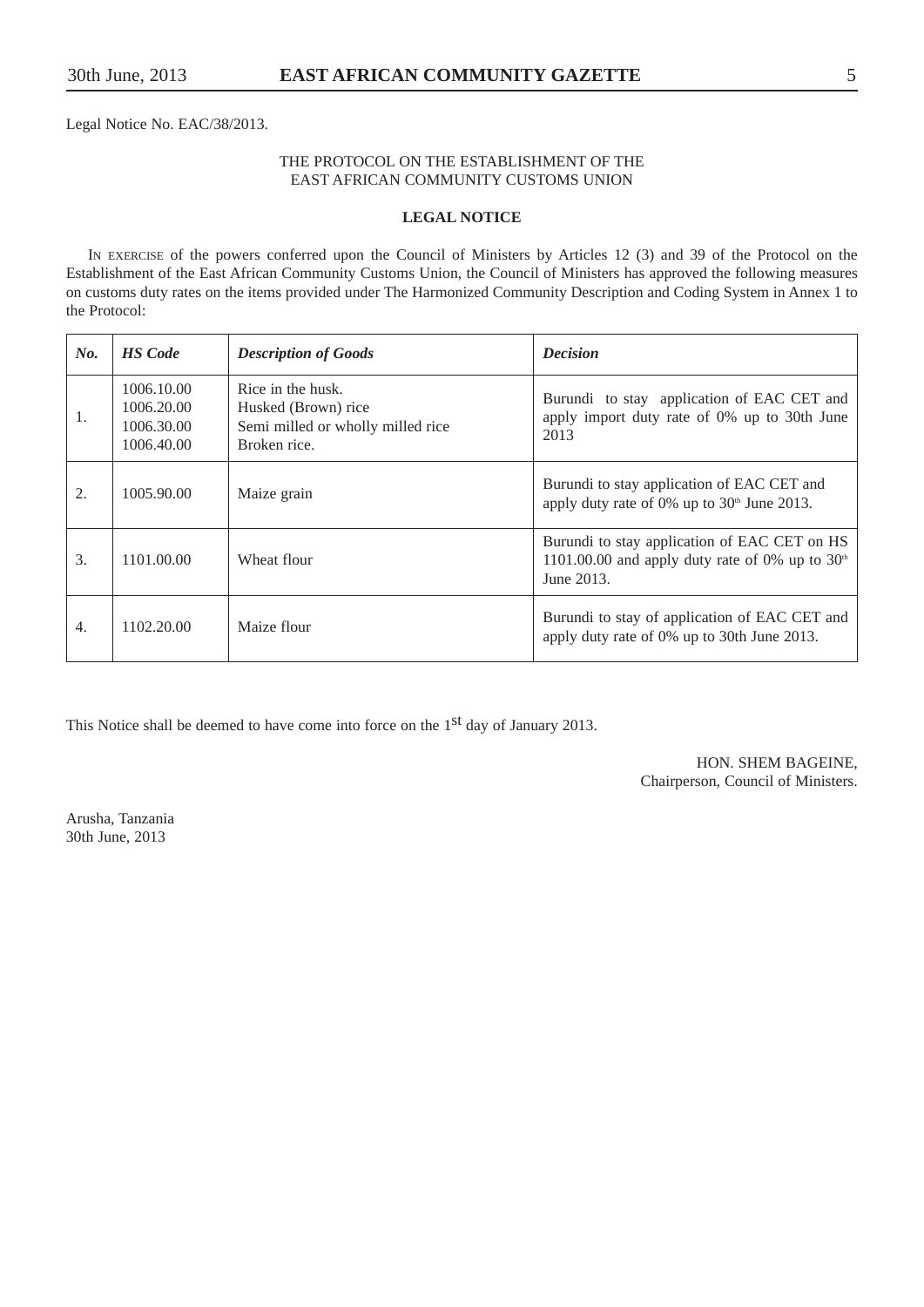Legal Notice No. EAC/38/2013.

#### THE PROTOCOL ON THE ESTABLISHMENT OF THE EAST AFRICAN COMMUNITY CUSTOMS UNION

#### **LEGAL NOTICE**

IN EXERCISE of the powers conferred upon the Council of Ministers by Articles 12 (3) and 39 of the Protocol on the Establishment of the East African Community Customs Union, the Council of Ministers has approved the following measures on customs duty rates on the items provided under The Harmonized Community Description and Coding System in Annex 1 to the Protocol:

| No.              | <b>HS</b> Code                                       | <b>Description of Goods</b>                                                                   | <b>Decision</b>                                                                                                 |
|------------------|------------------------------------------------------|-----------------------------------------------------------------------------------------------|-----------------------------------------------------------------------------------------------------------------|
| 1.               | 1006.10.00<br>1006.20.00<br>1006.30.00<br>1006.40.00 | Rice in the husk.<br>Husked (Brown) rice<br>Semi milled or wholly milled rice<br>Broken rice. | Burundi to stay application of EAC CET and<br>apply import duty rate of 0% up to 30th June<br>2013              |
| 2.               | 1005.90.00                                           | Maize grain                                                                                   | Burundi to stay application of EAC CET and<br>apply duty rate of 0% up to $30th$ June 2013.                     |
| 3.               | 1101.00.00                                           | Wheat flour                                                                                   | Burundi to stay application of EAC CET on HS<br>1101.00.00 and apply duty rate of 0% up to $30th$<br>June 2013. |
| $\overline{4}$ . | 1102.20.00                                           | Maize flour                                                                                   | Burundi to stay of application of EAC CET and<br>apply duty rate of 0% up to 30th June 2013.                    |

This Notice shall be deemed to have come into force on the 1<sup>st</sup> day of January 2013.

HON. SHEM BAGEINE, Chairperson, Council of Ministers.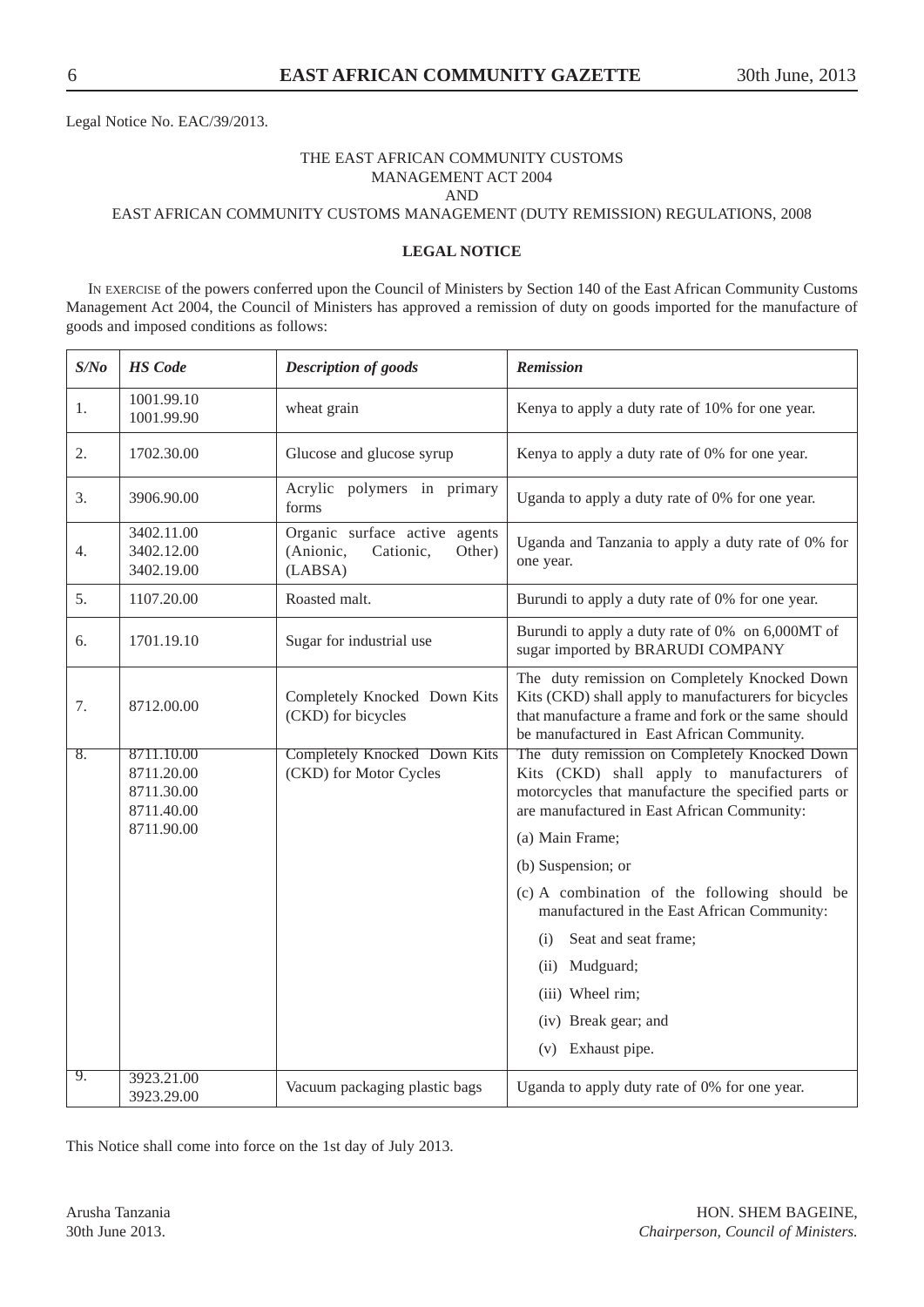Legal Notice No. EAC/39/2013.

#### THE EAST AFRICAN COMMUNITY CUSTOMS MANAGEMENT ACT 2004 AND

EAST AFRICAN COMMUNITY CUSTOMS MANAGEMENT (DUTY REMISSION) REGULATIONS, 2008

#### **LEGAL NOTICE**

IN EXERCISE of the powers conferred upon the Council of Ministers by Section 140 of the East African Community Customs Management Act 2004, the Council of Ministers has approved a remission of duty on goods imported for the manufacture of goods and imposed conditions as follows:

| S/No             | <b>HS</b> Code                                       | Description of goods                                                         | <b>Remission</b>                                                                                                                                                                                            |
|------------------|------------------------------------------------------|------------------------------------------------------------------------------|-------------------------------------------------------------------------------------------------------------------------------------------------------------------------------------------------------------|
| 1.               | 1001.99.10<br>1001.99.90                             | wheat grain                                                                  | Kenya to apply a duty rate of 10% for one year.                                                                                                                                                             |
| 2.               | 1702.30.00                                           | Glucose and glucose syrup                                                    | Kenya to apply a duty rate of 0% for one year.                                                                                                                                                              |
| 3.               | 3906.90.00                                           | Acrylic polymers in primary<br>forms                                         | Uganda to apply a duty rate of 0% for one year.                                                                                                                                                             |
| 4.               | 3402.11.00<br>3402.12.00<br>3402.19.00               | Organic surface active agents<br>(Anionic,<br>Cationic,<br>Other)<br>(LABSA) | Uganda and Tanzania to apply a duty rate of 0% for<br>one year.                                                                                                                                             |
| 5.               | 1107.20.00                                           | Roasted malt.                                                                | Burundi to apply a duty rate of 0% for one year.                                                                                                                                                            |
| 6.               | 1701.19.10                                           | Sugar for industrial use                                                     | Burundi to apply a duty rate of 0% on 6,000MT of<br>sugar imported by BRARUDI COMPANY                                                                                                                       |
| 7.               | 8712.00.00                                           | Completely Knocked Down Kits<br>(CKD) for bicycles                           | The duty remission on Completely Knocked Down<br>Kits (CKD) shall apply to manufacturers for bicycles<br>that manufacture a frame and fork or the same should<br>be manufactured in East African Community. |
| $\overline{8}$ . | 8711.10.00<br>8711.20.00<br>8711.30.00<br>8711.40.00 | Completely Knocked Down Kits<br>(CKD) for Motor Cycles                       | The duty remission on Completely Knocked Down<br>Kits (CKD) shall apply to manufacturers of<br>motorcycles that manufacture the specified parts or<br>are manufactured in East African Community:           |
|                  | 8711.90.00                                           |                                                                              | (a) Main Frame;                                                                                                                                                                                             |
|                  |                                                      |                                                                              | (b) Suspension; or                                                                                                                                                                                          |
|                  |                                                      |                                                                              | (c) A combination of the following should be<br>manufactured in the East African Community:                                                                                                                 |
|                  |                                                      |                                                                              | Seat and seat frame;<br>(i)                                                                                                                                                                                 |
|                  |                                                      |                                                                              | (ii) Mudguard;                                                                                                                                                                                              |
|                  |                                                      |                                                                              | (iii) Wheel rim;                                                                                                                                                                                            |
|                  |                                                      |                                                                              | (iv) Break gear; and                                                                                                                                                                                        |
|                  |                                                      |                                                                              | (v) Exhaust pipe.                                                                                                                                                                                           |
| 9.               | 3923.21.00<br>3923.29.00                             | Vacuum packaging plastic bags                                                | Uganda to apply duty rate of 0% for one year.                                                                                                                                                               |

This Notice shall come into force on the 1st day of July 2013.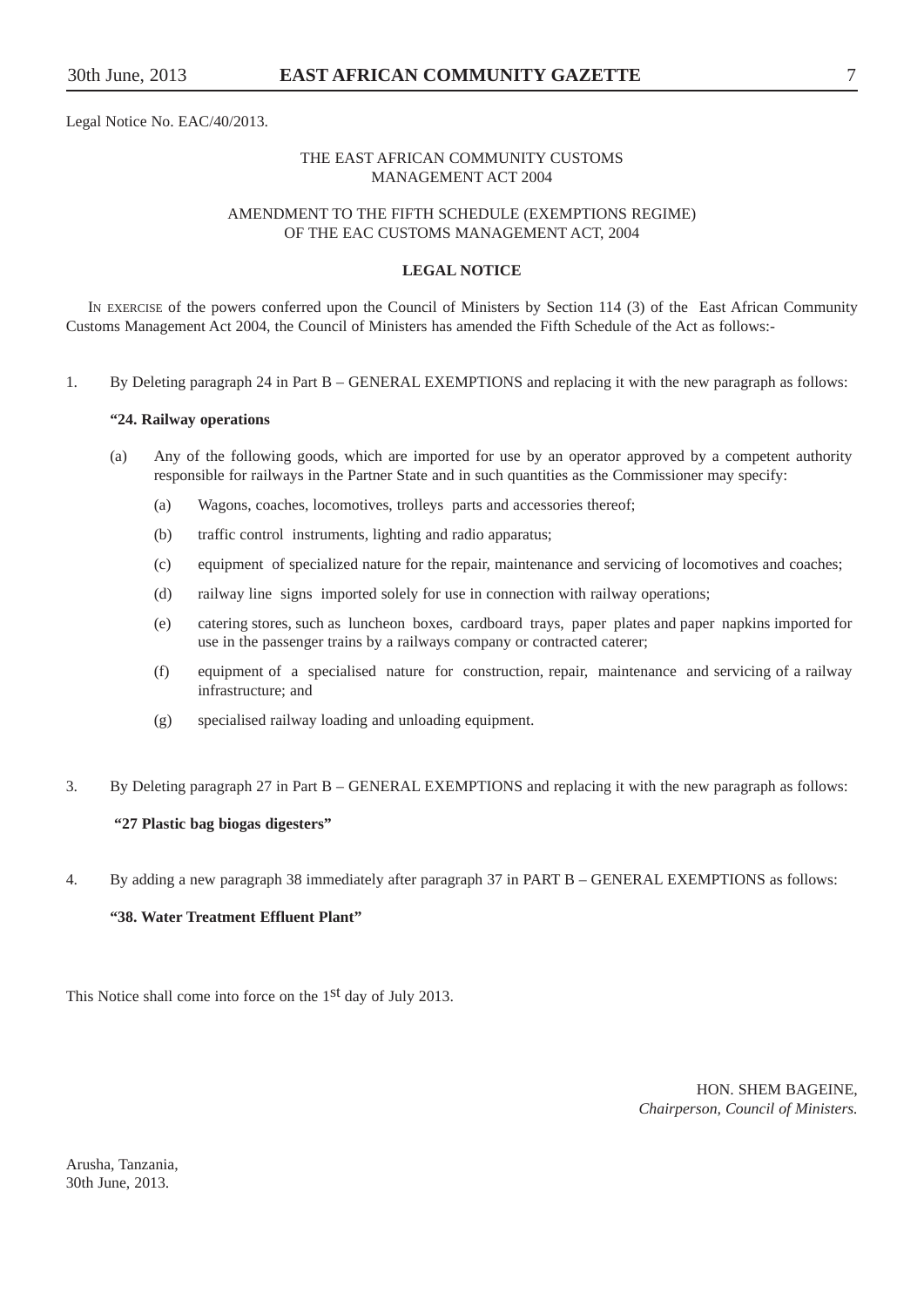Legal Notice No. EAC/40/2013.

#### THE EAST AFRICAN COMMUNITY CUSTOMS MANAGEMENT ACT 2004

#### AMENDMENT TO THE FIFTH SCHEDULE (EXEMPTIONS REGIME) OF THE EAC CUSTOMS MANAGEMENT ACT, 2004

#### **LEGAL NOTICE**

IN EXERCISE of the powers conferred upon the Council of Ministers by Section 114 (3) of the East African Community Customs Management Act 2004, the Council of Ministers has amended the Fifth Schedule of the Act as follows:-

1. By Deleting paragraph 24 in Part B – GENERAL EXEMPTIONS and replacing it with the new paragraph as follows:

#### **"24. Railway operations**

- (a) Any of the following goods, which are imported for use by an operator approved by a competent authority responsible for railways in the Partner State and in such quantities as the Commissioner may specify:
	- (a) Wagons, coaches, locomotives, trolleys parts and accessories thereof;
	- (b) traffic control instruments, lighting and radio apparatus;
	- (c) equipment of specialized nature for the repair, maintenance and servicing of locomotives and coaches;
	- (d) railway line signs imported solely for use in connection with railway operations;
	- (e) catering stores, such as luncheon boxes, cardboard trays, paper plates and paper napkins imported for use in the passenger trains by a railways company or contracted caterer;
	- (f) equipment of a specialised nature for construction, repair, maintenance and servicing of a railway infrastructure; and
	- (g) specialised railway loading and unloading equipment.
- 3. By Deleting paragraph 27 in Part B GENERAL EXEMPTIONS and replacing it with the new paragraph as follows:

#### **"27 Plastic bag biogas digesters"**

4. By adding a new paragraph 38 immediately after paragraph 37 in PART B – GENERAL EXEMPTIONS as follows:

#### **"38. Water Treatment Effluent Plant"**

This Notice shall come into force on the 1<sup>st</sup> day of July 2013.

HON. SHEM BAGEINE, *Chairperson, Council of Ministers.*

Arusha, Tanzania, 30th June, 2013.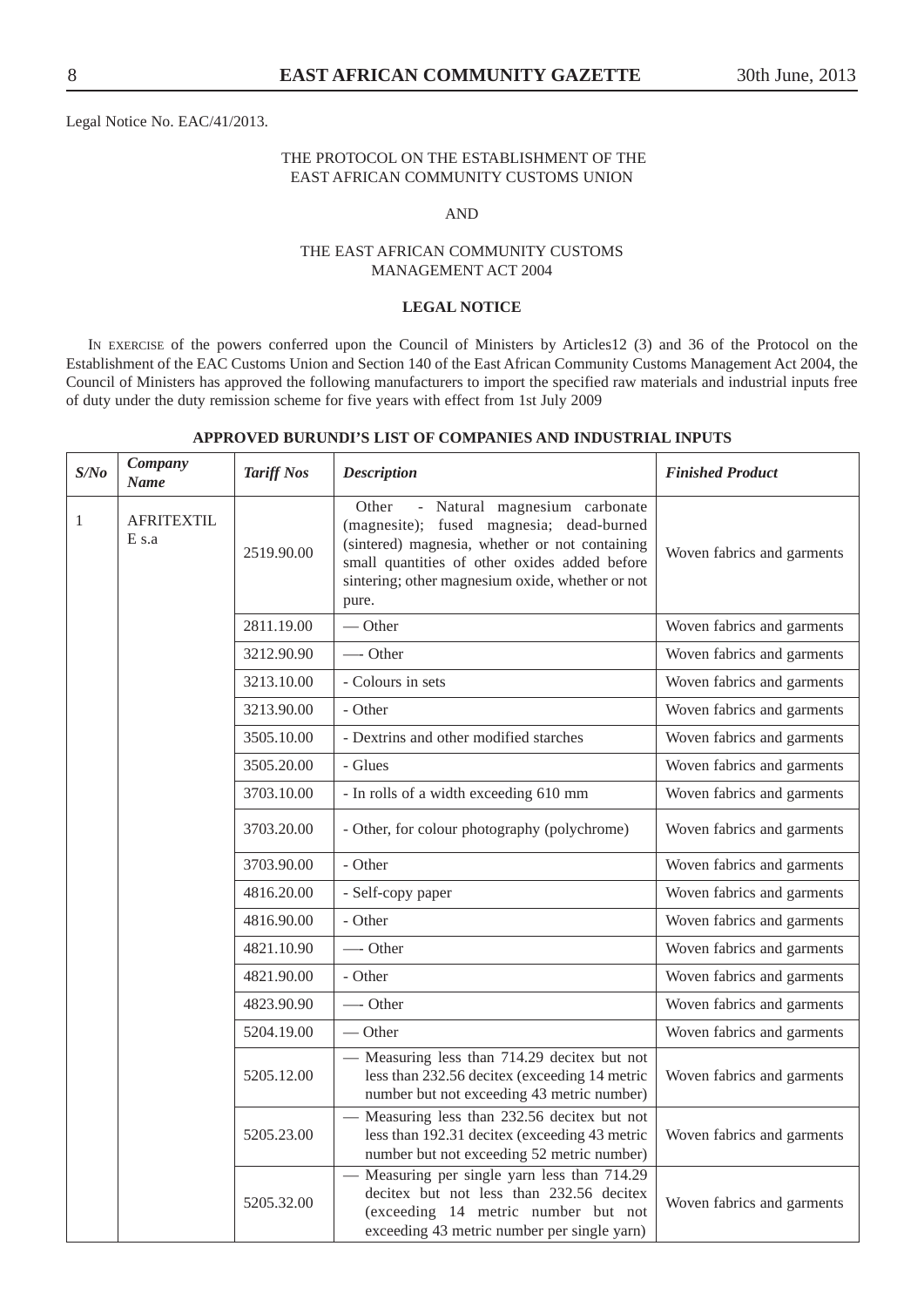Legal Notice No. EAC/41/2013.

#### THE PROTOCOL ON THE ESTABLISHMENT OF THE EAST AFRICAN COMMUNITY CUSTOMS UNION

#### AND

#### THE EAST AFRICAN COMMUNITY CUSTOMS MANAGEMENT ACT 2004

#### **LEGAL NOTICE**

IN EXERCISE of the powers conferred upon the Council of Ministers by Articles12 (3) and 36 of the Protocol on the Establishment of the EAC Customs Union and Section 140 of the East African Community Customs Management Act 2004, the Council of Ministers has approved the following manufacturers to import the specified raw materials and industrial inputs free of duty under the duty remission scheme for five years with effect from 1st July 2009

| S/No         | Company<br><b>Name</b>       | <b>Tariff Nos</b> | <b>Description</b>                                                                                                                                                                                                                                 | <b>Finished Product</b>    |
|--------------|------------------------------|-------------------|----------------------------------------------------------------------------------------------------------------------------------------------------------------------------------------------------------------------------------------------------|----------------------------|
| $\mathbf{1}$ | <b>AFRITEXTIL</b><br>$E$ s.a | 2519.90.00        | - Natural magnesium carbonate<br>Other<br>(magnesite); fused magnesia; dead-burned<br>(sintered) magnesia, whether or not containing<br>small quantities of other oxides added before<br>sintering; other magnesium oxide, whether or not<br>pure. | Woven fabrics and garments |
|              |                              | 2811.19.00        | $\overline{\phantom{a}}$ Other                                                                                                                                                                                                                     | Woven fabrics and garments |
|              |                              | 3212.90.90        | — Other                                                                                                                                                                                                                                            | Woven fabrics and garments |
|              |                              | 3213.10.00        | - Colours in sets                                                                                                                                                                                                                                  | Woven fabrics and garments |
|              |                              | 3213.90.00        | - Other                                                                                                                                                                                                                                            | Woven fabrics and garments |
|              |                              | 3505.10.00        | - Dextrins and other modified starches                                                                                                                                                                                                             | Woven fabrics and garments |
|              |                              | 3505.20.00        | - Glues                                                                                                                                                                                                                                            | Woven fabrics and garments |
|              |                              | 3703.10.00        | - In rolls of a width exceeding 610 mm                                                                                                                                                                                                             | Woven fabrics and garments |
|              |                              | 3703.20.00        | - Other, for colour photography (polychrome)                                                                                                                                                                                                       | Woven fabrics and garments |
|              |                              | 3703.90.00        | - Other                                                                                                                                                                                                                                            | Woven fabrics and garments |
|              |                              | 4816.20.00        | - Self-copy paper                                                                                                                                                                                                                                  | Woven fabrics and garments |
|              |                              | 4816.90.00        | - Other                                                                                                                                                                                                                                            | Woven fabrics and garments |
|              |                              | 4821.10.90        | -Other                                                                                                                                                                                                                                             | Woven fabrics and garments |
|              |                              | 4821.90.00        | - Other                                                                                                                                                                                                                                            | Woven fabrics and garments |
|              |                              | 4823.90.90        | -Other                                                                                                                                                                                                                                             | Woven fabrics and garments |
|              |                              | 5204.19.00        | $\overline{\phantom{a}}$ Other                                                                                                                                                                                                                     | Woven fabrics and garments |
|              |                              | 5205.12.00        | - Measuring less than 714.29 decitex but not<br>less than 232.56 decitex (exceeding 14 metric<br>number but not exceeding 43 metric number)                                                                                                        | Woven fabrics and garments |
|              |                              | 5205.23.00        | - Measuring less than 232.56 decitex but not<br>less than 192.31 decitex (exceeding 43 metric<br>number but not exceeding 52 metric number)                                                                                                        | Woven fabrics and garments |
|              |                              | 5205.32.00        | - Measuring per single yarn less than 714.29<br>decitex but not less than 232.56 decitex<br>(exceeding 14 metric number but not<br>exceeding 43 metric number per single yarn)                                                                     | Woven fabrics and garments |

#### **APPROVED BURUNDI'S LIST OF COMPANIES AND INDUSTRIAL INPUTS**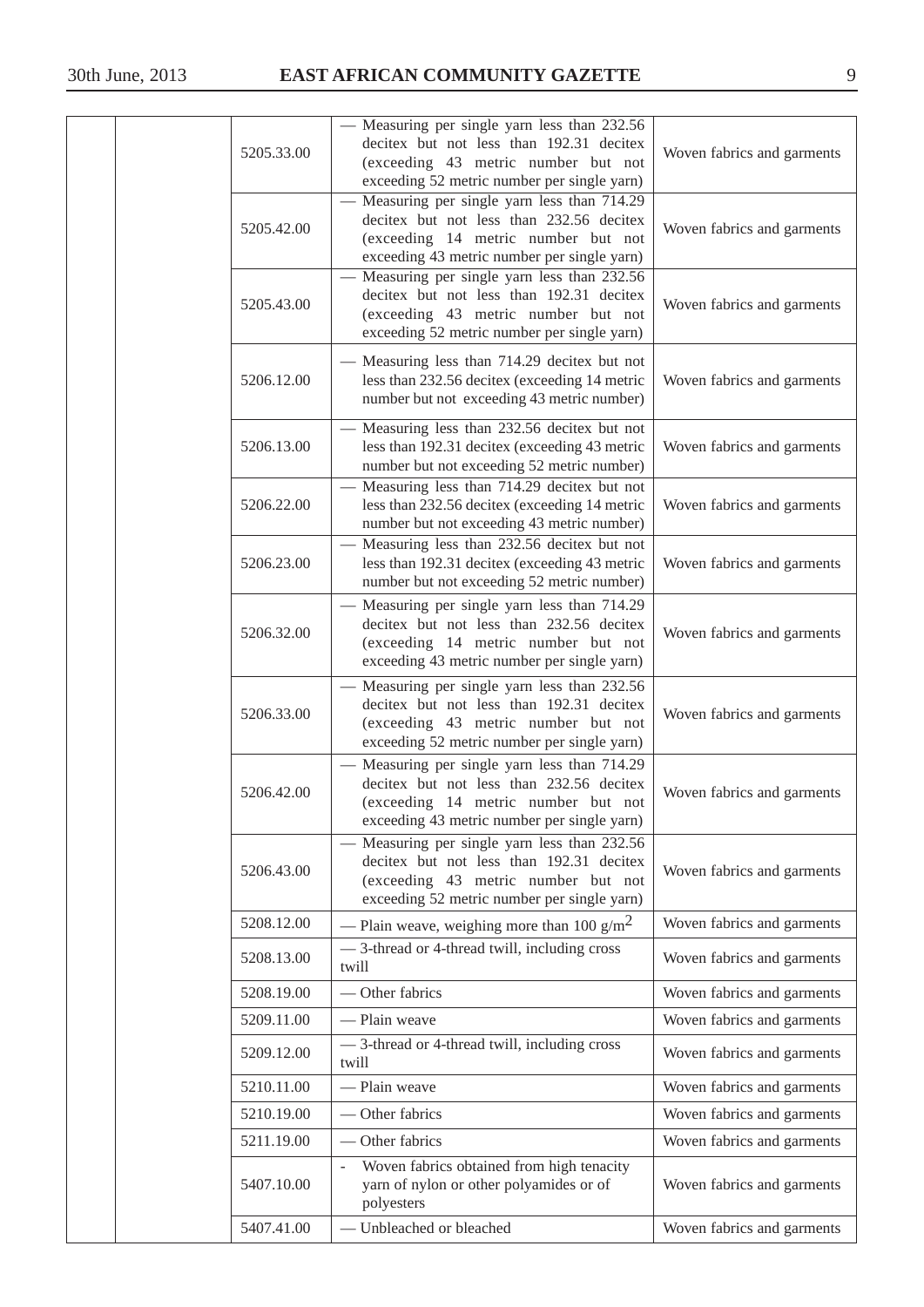| 5205.33.00 | Measuring per single yarn less than 232.56<br>decitex but not less than 192.31 decitex<br>(exceeding 43 metric number but not<br>exceeding 52 metric number per single yarn)   | Woven fabrics and garments |
|------------|--------------------------------------------------------------------------------------------------------------------------------------------------------------------------------|----------------------------|
| 5205.42.00 | Measuring per single yarn less than 714.29<br>decitex but not less than 232.56 decitex<br>(exceeding 14 metric number but not<br>exceeding 43 metric number per single yarn)   | Woven fabrics and garments |
| 5205.43.00 | Measuring per single yarn less than 232.56<br>decitex but not less than 192.31 decitex<br>(exceeding 43 metric number but not<br>exceeding 52 metric number per single yarn)   | Woven fabrics and garments |
| 5206.12.00 | - Measuring less than 714.29 decitex but not<br>less than 232.56 decitex (exceeding 14 metric<br>number but not exceeding 43 metric number)                                    | Woven fabrics and garments |
| 5206.13.00 | - Measuring less than 232.56 decitex but not<br>less than 192.31 decitex (exceeding 43 metric<br>number but not exceeding 52 metric number)                                    | Woven fabrics and garments |
| 5206.22.00 | Measuring less than 714.29 decitex but not<br>less than 232.56 decitex (exceeding 14 metric<br>number but not exceeding 43 metric number)                                      | Woven fabrics and garments |
| 5206.23.00 | Measuring less than 232.56 decitex but not<br>less than 192.31 decitex (exceeding 43 metric<br>number but not exceeding 52 metric number)                                      | Woven fabrics and garments |
| 5206.32.00 | Measuring per single yarn less than 714.29<br>decitex but not less than 232.56 decitex<br>(exceeding 14 metric number but not<br>exceeding 43 metric number per single yarn)   | Woven fabrics and garments |
| 5206.33.00 | - Measuring per single yarn less than 232.56<br>decitex but not less than 192.31 decitex<br>(exceeding 43 metric number but not<br>exceeding 52 metric number per single yarn) | Woven fabrics and garments |
| 5206.42.00 | - Measuring per single yarn less than 714.29<br>decitex but not less than 232.56 decitex<br>(exceeding 14 metric number but not<br>exceeding 43 metric number per single yarn) | Woven fabrics and garments |
| 5206.43.00 | - Measuring per single yarn less than 232.56<br>decitex but not less than 192.31 decitex<br>(exceeding 43 metric number but not<br>exceeding 52 metric number per single yarn) | Woven fabrics and garments |
| 5208.12.00 | — Plain weave, weighing more than 100 g/m <sup>2</sup>                                                                                                                         | Woven fabrics and garments |
| 5208.13.00 | - 3-thread or 4-thread twill, including cross<br>twill                                                                                                                         | Woven fabrics and garments |
| 5208.19.00 | - Other fabrics                                                                                                                                                                | Woven fabrics and garments |
| 5209.11.00 | - Plain weave                                                                                                                                                                  | Woven fabrics and garments |
| 5209.12.00 | - 3-thread or 4-thread twill, including cross<br>twill                                                                                                                         | Woven fabrics and garments |
| 5210.11.00 | - Plain weave                                                                                                                                                                  | Woven fabrics and garments |
| 5210.19.00 | - Other fabrics                                                                                                                                                                | Woven fabrics and garments |
| 5211.19.00 | Other fabrics                                                                                                                                                                  | Woven fabrics and garments |
| 5407.10.00 | Woven fabrics obtained from high tenacity<br>yarn of nylon or other polyamides or of<br>polyesters                                                                             | Woven fabrics and garments |
| 5407.41.00 | Unbleached or bleached                                                                                                                                                         | Woven fabrics and garments |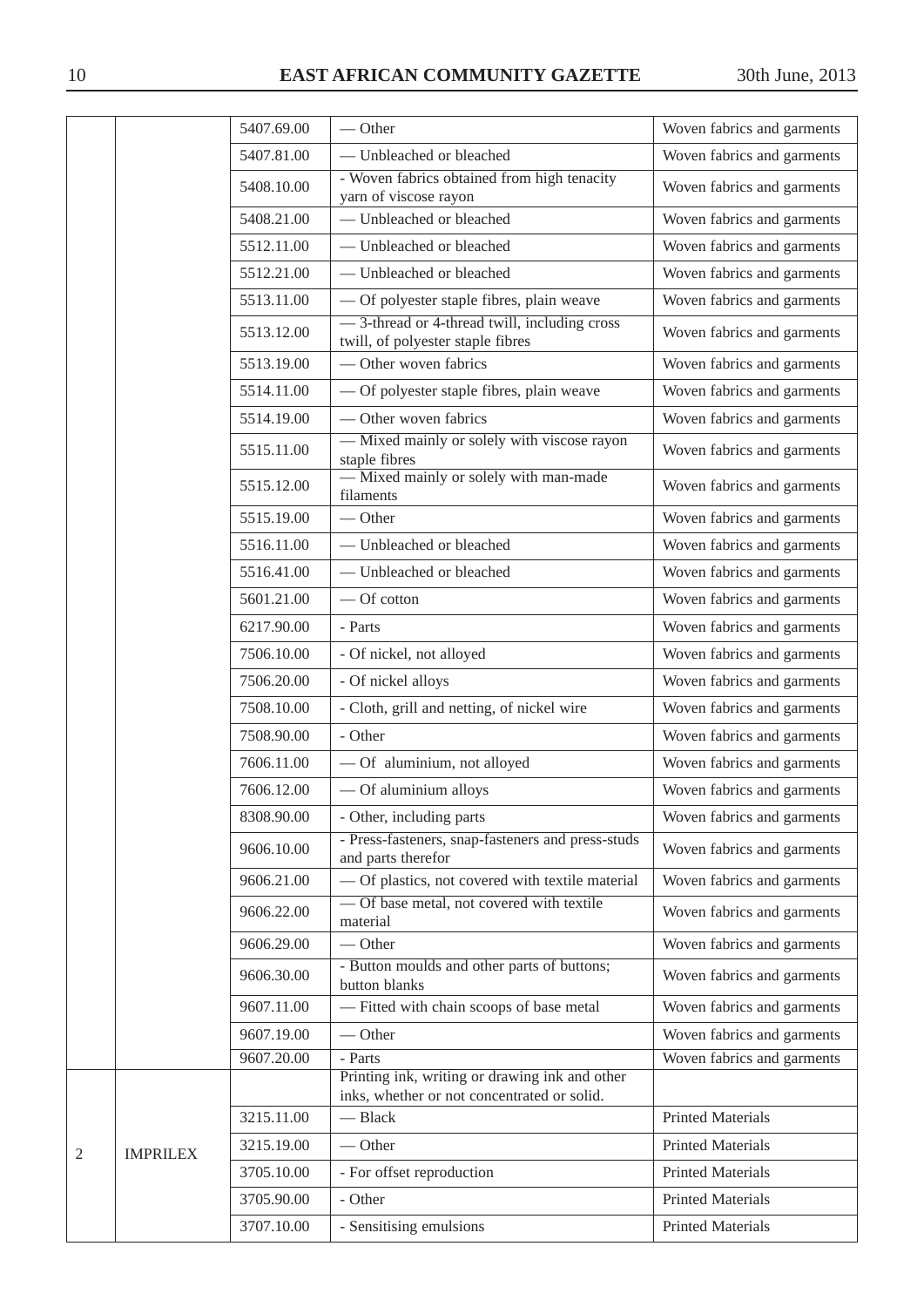|                |                 | 5407.69.00 | $-$ Other                                                                          | Woven fabrics and garments |
|----------------|-----------------|------------|------------------------------------------------------------------------------------|----------------------------|
|                |                 | 5407.81.00 | - Unbleached or bleached                                                           | Woven fabrics and garments |
|                |                 | 5408.10.00 | - Woven fabrics obtained from high tenacity<br>yarn of viscose rayon               | Woven fabrics and garments |
|                |                 | 5408.21.00 | - Unbleached or bleached                                                           | Woven fabrics and garments |
|                |                 | 5512.11.00 | - Unbleached or bleached                                                           | Woven fabrics and garments |
|                |                 | 5512.21.00 | - Unbleached or bleached                                                           | Woven fabrics and garments |
|                |                 | 5513.11.00 | — Of polyester staple fibres, plain weave                                          | Woven fabrics and garments |
|                |                 | 5513.12.00 | - 3-thread or 4-thread twill, including cross<br>twill, of polyester staple fibres | Woven fabrics and garments |
|                |                 | 5513.19.00 | - Other woven fabrics                                                              | Woven fabrics and garments |
|                |                 | 5514.11.00 | - Of polyester staple fibres, plain weave                                          | Woven fabrics and garments |
|                |                 | 5514.19.00 | - Other woven fabrics                                                              | Woven fabrics and garments |
|                |                 | 5515.11.00 | - Mixed mainly or solely with viscose rayon<br>staple fibres                       | Woven fabrics and garments |
|                |                 | 5515.12.00 | - Mixed mainly or solely with man-made<br>filaments                                | Woven fabrics and garments |
|                |                 | 5515.19.00 | $-$ Other                                                                          | Woven fabrics and garments |
|                |                 | 5516.11.00 | - Unbleached or bleached                                                           | Woven fabrics and garments |
|                |                 | 5516.41.00 | - Unbleached or bleached                                                           | Woven fabrics and garments |
|                |                 | 5601.21.00 | - Of cotton                                                                        | Woven fabrics and garments |
|                |                 | 6217.90.00 | - Parts                                                                            | Woven fabrics and garments |
|                |                 | 7506.10.00 | - Of nickel, not alloyed                                                           | Woven fabrics and garments |
|                |                 | 7506.20.00 | - Of nickel alloys                                                                 | Woven fabrics and garments |
|                |                 | 7508.10.00 | - Cloth, grill and netting, of nickel wire                                         | Woven fabrics and garments |
|                |                 | 7508.90.00 | - Other                                                                            | Woven fabrics and garments |
|                |                 | 7606.11.00 | - Of aluminium, not alloyed                                                        | Woven fabrics and garments |
|                |                 | 7606.12.00 | - Of aluminium alloys                                                              | Woven fabrics and garments |
|                |                 | 8308.90.00 | - Other, including parts                                                           | Woven fabrics and garments |
|                |                 | 9606.10.00 | - Press-fasteners, snap-fasteners and press-studs<br>and parts therefor            | Woven fabrics and garments |
|                |                 | 9606.21.00 | - Of plastics, not covered with textile material                                   | Woven fabrics and garments |
|                |                 | 9606.22.00 | - Of base metal, not covered with textile<br>material                              | Woven fabrics and garments |
|                |                 | 9606.29.00 | $-$ Other                                                                          | Woven fabrics and garments |
|                |                 | 9606.30.00 | - Button moulds and other parts of buttons;<br>button blanks                       | Woven fabrics and garments |
|                |                 | 9607.11.00 | - Fitted with chain scoops of base metal                                           | Woven fabrics and garments |
|                |                 | 9607.19.00 | $-$ Other                                                                          | Woven fabrics and garments |
|                |                 | 9607.20.00 | - Parts<br>Printing ink, writing or drawing ink and other                          | Woven fabrics and garments |
|                |                 |            | inks, whether or not concentrated or solid.                                        |                            |
|                |                 | 3215.11.00 | - Black                                                                            | <b>Printed Materials</b>   |
| $\overline{2}$ | <b>IMPRILEX</b> | 3215.19.00 | $-$ Other                                                                          | <b>Printed Materials</b>   |
|                |                 | 3705.10.00 | - For offset reproduction                                                          | <b>Printed Materials</b>   |
|                |                 | 3705.90.00 | - Other                                                                            | <b>Printed Materials</b>   |
|                |                 | 3707.10.00 | - Sensitising emulsions                                                            | <b>Printed Materials</b>   |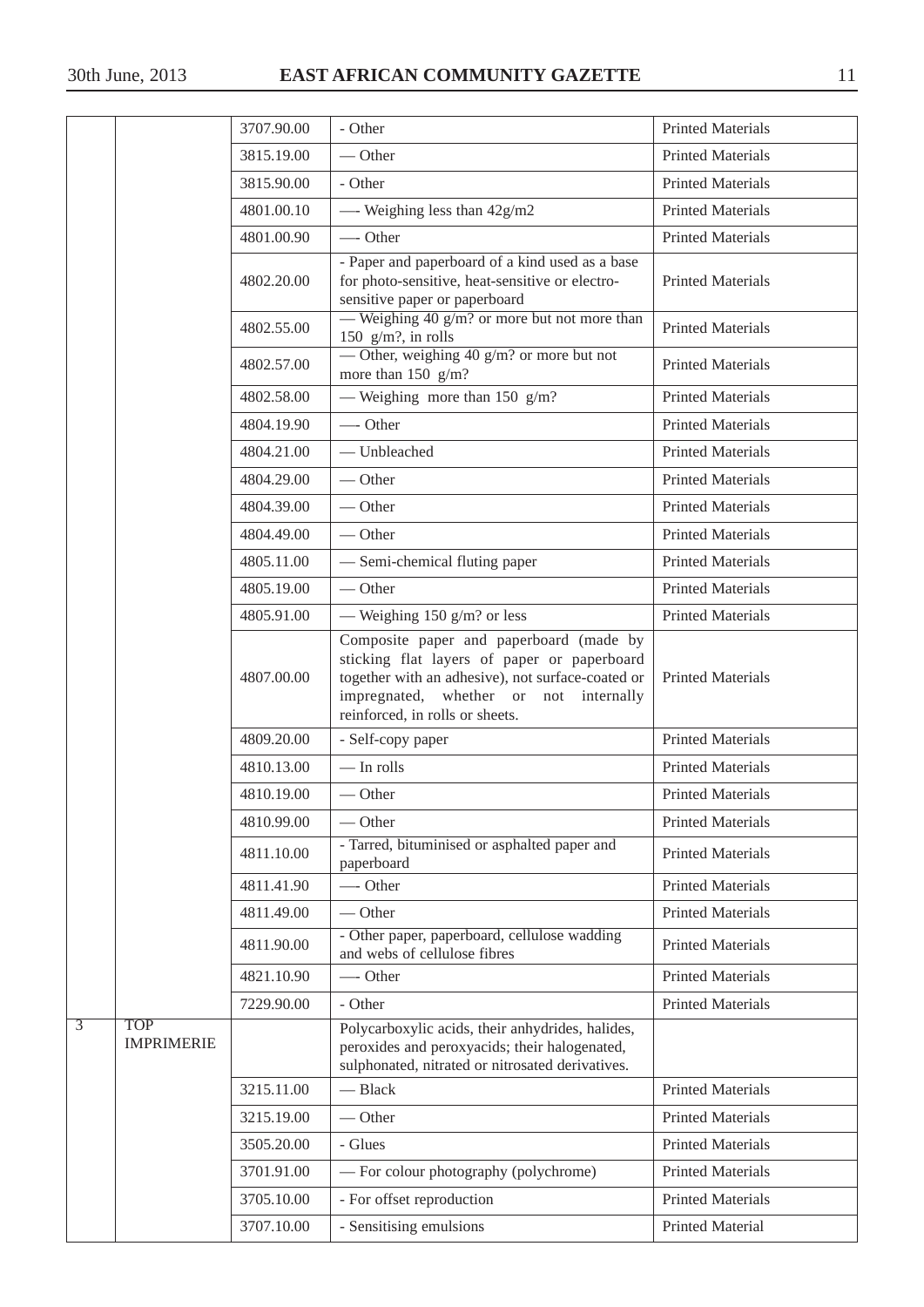|                |                                 | 3707.90.00 | - Other                                                                                                                                                                                                                  | <b>Printed Materials</b> |
|----------------|---------------------------------|------------|--------------------------------------------------------------------------------------------------------------------------------------------------------------------------------------------------------------------------|--------------------------|
|                |                                 | 3815.19.00 | $-$ Other                                                                                                                                                                                                                | <b>Printed Materials</b> |
|                |                                 | 3815.90.00 | - Other                                                                                                                                                                                                                  | <b>Printed Materials</b> |
|                |                                 | 4801.00.10 | - Weighing less than $42g/m2$                                                                                                                                                                                            | <b>Printed Materials</b> |
|                |                                 | 4801.00.90 | — Other                                                                                                                                                                                                                  | <b>Printed Materials</b> |
|                |                                 | 4802.20.00 | - Paper and paperboard of a kind used as a base<br>for photo-sensitive, heat-sensitive or electro-<br>sensitive paper or paperboard                                                                                      | <b>Printed Materials</b> |
|                |                                 | 4802.55.00 | — Weighing $40$ g/m? or more but not more than<br>150 $g/m$ ?, in rolls                                                                                                                                                  | <b>Printed Materials</b> |
|                |                                 | 4802.57.00 | — Other, weighing 40 $g/m$ ? or more but not<br>more than $150 \text{ g/m}$ ?                                                                                                                                            | <b>Printed Materials</b> |
|                |                                 | 4802.58.00 | — Weighing more than 150 $g/m$ ?                                                                                                                                                                                         | <b>Printed Materials</b> |
|                |                                 | 4804.19.90 | $\overline{\phantom{a}}$ Other                                                                                                                                                                                           | <b>Printed Materials</b> |
|                |                                 | 4804.21.00 | - Unbleached                                                                                                                                                                                                             | <b>Printed Materials</b> |
|                |                                 | 4804.29.00 | $-$ Other                                                                                                                                                                                                                | <b>Printed Materials</b> |
|                |                                 | 4804.39.00 | $-$ Other                                                                                                                                                                                                                | <b>Printed Materials</b> |
|                |                                 | 4804.49.00 | $-$ Other                                                                                                                                                                                                                | <b>Printed Materials</b> |
|                |                                 | 4805.11.00 | - Semi-chemical fluting paper                                                                                                                                                                                            | <b>Printed Materials</b> |
|                |                                 | 4805.19.00 | $-$ Other                                                                                                                                                                                                                | <b>Printed Materials</b> |
|                |                                 | 4805.91.00 | — Weighing 150 g/m? or less                                                                                                                                                                                              | <b>Printed Materials</b> |
|                |                                 | 4807.00.00 | Composite paper and paperboard (made by<br>sticking flat layers of paper or paperboard<br>together with an adhesive), not surface-coated or<br>impregnated, whether or not internally<br>reinforced, in rolls or sheets. | <b>Printed Materials</b> |
|                |                                 | 4809.20.00 | - Self-copy paper                                                                                                                                                                                                        | <b>Printed Materials</b> |
|                |                                 | 4810.13.00 | $-$ In rolls                                                                                                                                                                                                             | <b>Printed Materials</b> |
|                |                                 | 4810.19.00 | $-$ Other                                                                                                                                                                                                                | <b>Printed Materials</b> |
|                |                                 | 4810.99.00 | $-$ Other                                                                                                                                                                                                                | <b>Printed Materials</b> |
|                |                                 | 4811.10.00 | - Tarred, bituminised or asphalted paper and<br>paperboard                                                                                                                                                               | <b>Printed Materials</b> |
|                |                                 | 4811.41.90 | -Other                                                                                                                                                                                                                   | <b>Printed Materials</b> |
|                |                                 | 4811.49.00 | $-$ Other                                                                                                                                                                                                                | <b>Printed Materials</b> |
|                |                                 | 4811.90.00 | - Other paper, paperboard, cellulose wadding<br>and webs of cellulose fibres                                                                                                                                             | <b>Printed Materials</b> |
|                |                                 | 4821.10.90 | -- Other                                                                                                                                                                                                                 | <b>Printed Materials</b> |
|                |                                 | 7229.90.00 | - Other                                                                                                                                                                                                                  | <b>Printed Materials</b> |
| $\overline{3}$ | <b>TOP</b><br><b>IMPRIMERIE</b> |            | Polycarboxylic acids, their anhydrides, halides,<br>peroxides and peroxyacids; their halogenated,<br>sulphonated, nitrated or nitrosated derivatives.                                                                    |                          |
|                |                                 | 3215.11.00 | - Black                                                                                                                                                                                                                  | <b>Printed Materials</b> |
|                |                                 | 3215.19.00 | $-$ Other                                                                                                                                                                                                                | <b>Printed Materials</b> |
|                |                                 | 3505.20.00 | - Glues                                                                                                                                                                                                                  | <b>Printed Materials</b> |
|                |                                 | 3701.91.00 | - For colour photography (polychrome)                                                                                                                                                                                    | <b>Printed Materials</b> |
|                |                                 | 3705.10.00 | - For offset reproduction                                                                                                                                                                                                | <b>Printed Materials</b> |
|                |                                 | 3707.10.00 | - Sensitising emulsions                                                                                                                                                                                                  | Printed Material         |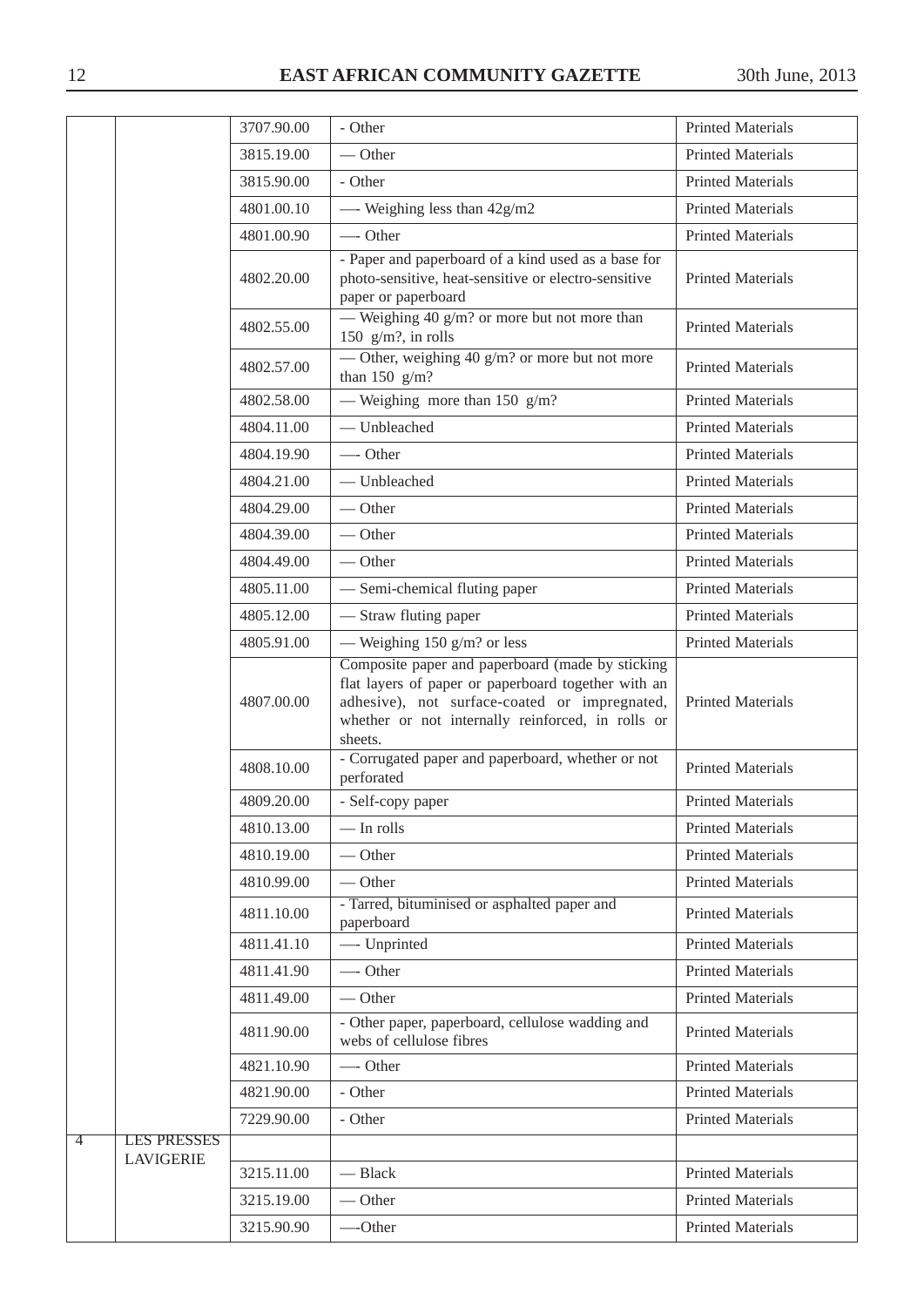|                |                                        | 3707.90.00 | - Other                                                                                                                                                                                                                  | <b>Printed Materials</b> |
|----------------|----------------------------------------|------------|--------------------------------------------------------------------------------------------------------------------------------------------------------------------------------------------------------------------------|--------------------------|
|                |                                        | 3815.19.00 | $-$ Other                                                                                                                                                                                                                | <b>Printed Materials</b> |
|                |                                        | 3815.90.00 | - Other                                                                                                                                                                                                                  | <b>Printed Materials</b> |
|                |                                        | 4801.00.10 | - Weighing less than $42g/m2$                                                                                                                                                                                            | <b>Printed Materials</b> |
|                |                                        | 4801.00.90 | — Other                                                                                                                                                                                                                  | <b>Printed Materials</b> |
|                |                                        | 4802.20.00 | - Paper and paperboard of a kind used as a base for<br>photo-sensitive, heat-sensitive or electro-sensitive<br>paper or paperboard                                                                                       | <b>Printed Materials</b> |
|                |                                        | 4802.55.00 | — Weighing 40 g/m? or more but not more than<br>150 $g/m$ ?, in rolls                                                                                                                                                    | <b>Printed Materials</b> |
|                |                                        | 4802.57.00 | — Other, weighing 40 $g/m$ ? or more but not more<br>than $150$ g/m?                                                                                                                                                     | <b>Printed Materials</b> |
|                |                                        | 4802.58.00 | — Weighing more than 150 $g/m$ ?                                                                                                                                                                                         | <b>Printed Materials</b> |
|                |                                        | 4804.11.00 | - Unbleached                                                                                                                                                                                                             | <b>Printed Materials</b> |
|                |                                        | 4804.19.90 | $\longrightarrow$ Other                                                                                                                                                                                                  | <b>Printed Materials</b> |
|                |                                        | 4804.21.00 | - Unbleached                                                                                                                                                                                                             | <b>Printed Materials</b> |
|                |                                        | 4804.29.00 | — Other                                                                                                                                                                                                                  | <b>Printed Materials</b> |
|                |                                        | 4804.39.00 | — Other                                                                                                                                                                                                                  | <b>Printed Materials</b> |
|                |                                        | 4804.49.00 | $-$ Other                                                                                                                                                                                                                | <b>Printed Materials</b> |
|                |                                        | 4805.11.00 | - Semi-chemical fluting paper                                                                                                                                                                                            | <b>Printed Materials</b> |
|                |                                        | 4805.12.00 | - Straw fluting paper                                                                                                                                                                                                    | <b>Printed Materials</b> |
|                |                                        | 4805.91.00 | — Weighing 150 g/m? or less                                                                                                                                                                                              | <b>Printed Materials</b> |
|                |                                        | 4807.00.00 | Composite paper and paperboard (made by sticking<br>flat layers of paper or paperboard together with an<br>adhesive), not surface-coated or impregnated,<br>whether or not internally reinforced, in rolls or<br>sheets. | <b>Printed Materials</b> |
|                |                                        | 4808.10.00 | - Corrugated paper and paperboard, whether or not<br>perforated                                                                                                                                                          | <b>Printed Materials</b> |
|                |                                        | 4809.20.00 | - Self-copy paper                                                                                                                                                                                                        | <b>Printed Materials</b> |
|                |                                        | 4810.13.00 | $-$ In rolls                                                                                                                                                                                                             | <b>Printed Materials</b> |
|                |                                        | 4810.19.00 | $-$ Other                                                                                                                                                                                                                | <b>Printed Materials</b> |
|                |                                        | 4810.99.00 | $-$ Other                                                                                                                                                                                                                | <b>Printed Materials</b> |
|                |                                        | 4811.10.00 | - Tarred, bituminised or asphalted paper and<br>paperboard                                                                                                                                                               | <b>Printed Materials</b> |
|                |                                        | 4811.41.10 | - Unprinted                                                                                                                                                                                                              | <b>Printed Materials</b> |
|                |                                        | 4811.41.90 | -Other                                                                                                                                                                                                                   | <b>Printed Materials</b> |
|                |                                        | 4811.49.00 | $-$ Other                                                                                                                                                                                                                | <b>Printed Materials</b> |
|                |                                        | 4811.90.00 | - Other paper, paperboard, cellulose wadding and<br>webs of cellulose fibres                                                                                                                                             | <b>Printed Materials</b> |
|                |                                        | 4821.10.90 | -Other                                                                                                                                                                                                                   | <b>Printed Materials</b> |
|                |                                        | 4821.90.00 | - Other                                                                                                                                                                                                                  | <b>Printed Materials</b> |
|                |                                        | 7229.90.00 | - Other                                                                                                                                                                                                                  | <b>Printed Materials</b> |
| $\overline{4}$ | <b>LES PRESSES</b><br><b>LAVIGERIE</b> |            |                                                                                                                                                                                                                          |                          |
|                |                                        | 3215.11.00 | - Black                                                                                                                                                                                                                  | <b>Printed Materials</b> |
|                |                                        | 3215.19.00 | $-$ Other                                                                                                                                                                                                                | <b>Printed Materials</b> |
|                |                                        | 3215.90.90 | -Other                                                                                                                                                                                                                   | <b>Printed Materials</b> |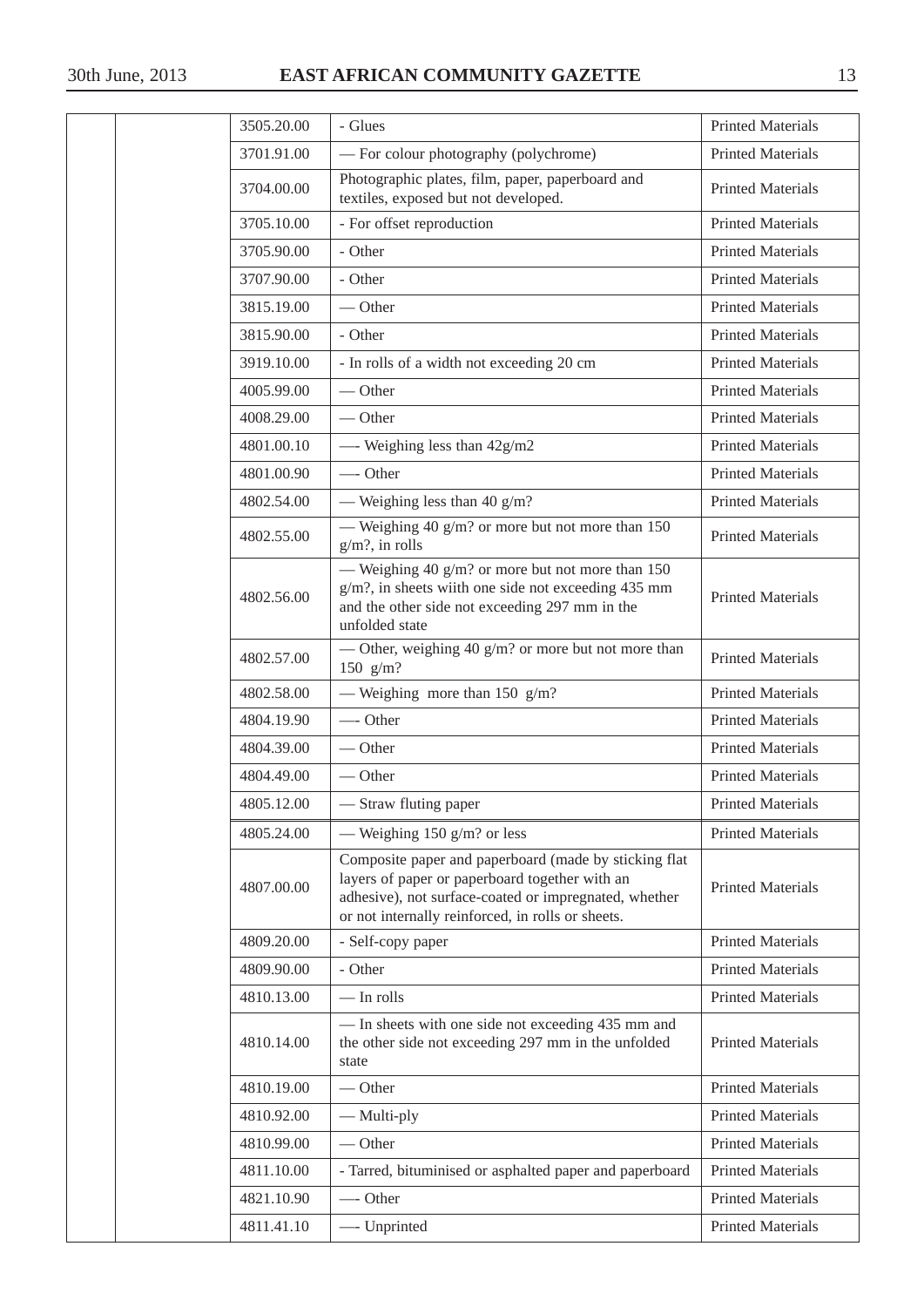| 3505.20.00 | - Glues                                                                                                                                                                                                               | <b>Printed Materials</b> |
|------------|-----------------------------------------------------------------------------------------------------------------------------------------------------------------------------------------------------------------------|--------------------------|
| 3701.91.00 | - For colour photography (polychrome)                                                                                                                                                                                 | <b>Printed Materials</b> |
| 3704.00.00 | Photographic plates, film, paper, paperboard and<br>textiles, exposed but not developed.                                                                                                                              | <b>Printed Materials</b> |
| 3705.10.00 | - For offset reproduction                                                                                                                                                                                             | <b>Printed Materials</b> |
| 3705.90.00 | - Other                                                                                                                                                                                                               | <b>Printed Materials</b> |
| 3707.90.00 | - Other                                                                                                                                                                                                               | <b>Printed Materials</b> |
| 3815.19.00 | $-$ Other                                                                                                                                                                                                             | <b>Printed Materials</b> |
| 3815.90.00 | - Other                                                                                                                                                                                                               | <b>Printed Materials</b> |
| 3919.10.00 | - In rolls of a width not exceeding 20 cm                                                                                                                                                                             | <b>Printed Materials</b> |
| 4005.99.00 | $-$ Other                                                                                                                                                                                                             | <b>Printed Materials</b> |
| 4008.29.00 | $\overline{\phantom{a}}$ Other                                                                                                                                                                                        | <b>Printed Materials</b> |
| 4801.00.10 | - Weighing less than 42g/m2                                                                                                                                                                                           | <b>Printed Materials</b> |
| 4801.00.90 | -Other                                                                                                                                                                                                                | <b>Printed Materials</b> |
| 4802.54.00 | — Weighing less than 40 $g/m$ ?                                                                                                                                                                                       | <b>Printed Materials</b> |
| 4802.55.00 | — Weighing 40 g/m? or more but not more than $150$<br>$g/m$ ?, in rolls                                                                                                                                               | <b>Printed Materials</b> |
| 4802.56.00 | — Weighing 40 $g/m$ ? or more but not more than 150<br>g/m?, in sheets wiith one side not exceeding 435 mm<br>and the other side not exceeding 297 mm in the<br>unfolded state                                        | <b>Printed Materials</b> |
| 4802.57.00 | — Other, weighing 40 $g/m$ ? or more but not more than<br>150 $g/m?$                                                                                                                                                  | <b>Printed Materials</b> |
| 4802.58.00 | — Weighing more than 150 $g/m$ ?                                                                                                                                                                                      | <b>Printed Materials</b> |
| 4804.19.90 | -Other                                                                                                                                                                                                                | <b>Printed Materials</b> |
| 4804.39.00 | $\overline{\phantom{a}}$ Other                                                                                                                                                                                        | <b>Printed Materials</b> |
| 4804.49.00 | — Other                                                                                                                                                                                                               | <b>Printed Materials</b> |
| 4805.12.00 | — Straw fluting paper                                                                                                                                                                                                 | <b>Printed Materials</b> |
| 4805.24.00 | — Weighing 150 g/m? or less                                                                                                                                                                                           | <b>Printed Materials</b> |
| 4807.00.00 | Composite paper and paperboard (made by sticking flat<br>layers of paper or paperboard together with an<br>adhesive), not surface-coated or impregnated, whether<br>or not internally reinforced, in rolls or sheets. | <b>Printed Materials</b> |
| 4809.20.00 | - Self-copy paper                                                                                                                                                                                                     | <b>Printed Materials</b> |
| 4809.90.00 | - Other                                                                                                                                                                                                               | <b>Printed Materials</b> |
| 4810.13.00 | $-$ In rolls                                                                                                                                                                                                          | <b>Printed Materials</b> |
| 4810.14.00 | - In sheets with one side not exceeding 435 mm and<br>the other side not exceeding 297 mm in the unfolded<br>state                                                                                                    | <b>Printed Materials</b> |
| 4810.19.00 | $-$ Other                                                                                                                                                                                                             | <b>Printed Materials</b> |
| 4810.92.00 | — Multi-ply                                                                                                                                                                                                           | <b>Printed Materials</b> |
| 4810.99.00 | — Other                                                                                                                                                                                                               | <b>Printed Materials</b> |
| 4811.10.00 | - Tarred, bituminised or asphalted paper and paperboard                                                                                                                                                               | <b>Printed Materials</b> |
| 4821.10.90 | -Other                                                                                                                                                                                                                | <b>Printed Materials</b> |
| 4811.41.10 | -- Unprinted                                                                                                                                                                                                          | <b>Printed Materials</b> |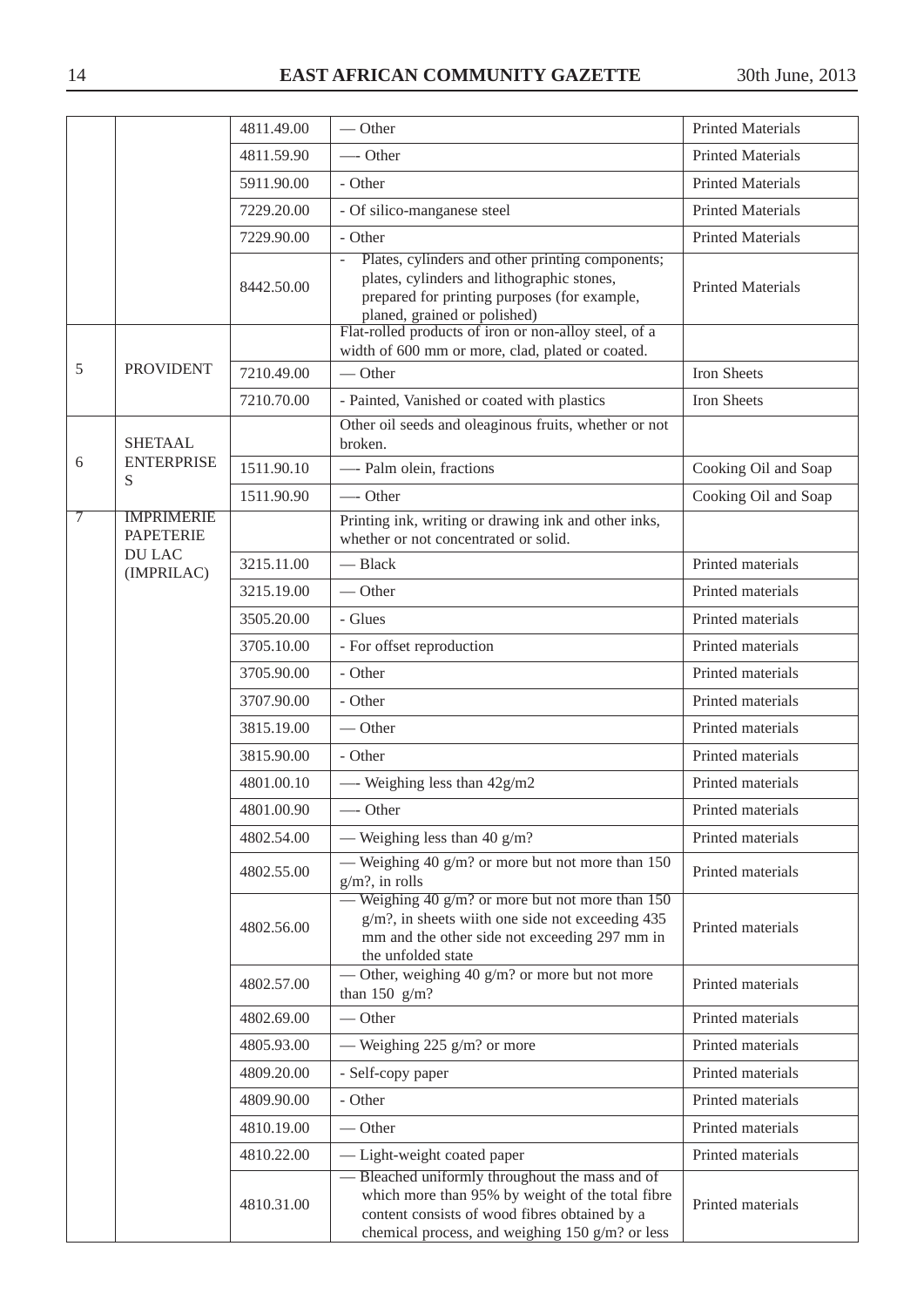|   |                                       | 4811.49.00 | $-$ Other                                                                                                                                                                                                                                           | <b>Printed Materials</b> |
|---|---------------------------------------|------------|-----------------------------------------------------------------------------------------------------------------------------------------------------------------------------------------------------------------------------------------------------|--------------------------|
|   |                                       | 4811.59.90 | $\longrightarrow$ Other                                                                                                                                                                                                                             | <b>Printed Materials</b> |
|   |                                       | 5911.90.00 | - Other                                                                                                                                                                                                                                             | <b>Printed Materials</b> |
|   |                                       | 7229.20.00 | - Of silico-manganese steel                                                                                                                                                                                                                         | <b>Printed Materials</b> |
|   |                                       | 7229.90.00 | - Other                                                                                                                                                                                                                                             | <b>Printed Materials</b> |
|   |                                       | 8442.50.00 | Plates, cylinders and other printing components;<br>$\equiv$<br>plates, cylinders and lithographic stones,<br>prepared for printing purposes (for example,<br>planed, grained or polished)<br>Flat-rolled products of iron or non-alloy steel, of a | <b>Printed Materials</b> |
|   |                                       |            | width of 600 mm or more, clad, plated or coated.                                                                                                                                                                                                    |                          |
| 5 | <b>PROVIDENT</b>                      | 7210.49.00 | $-$ Other                                                                                                                                                                                                                                           | Iron Sheets              |
|   |                                       | 7210.70.00 | - Painted, Vanished or coated with plastics                                                                                                                                                                                                         | Iron Sheets              |
|   | <b>SHETAAL</b>                        |            | Other oil seeds and oleaginous fruits, whether or not<br>broken.                                                                                                                                                                                    |                          |
| 6 | <b>ENTERPRISE</b><br>S                | 1511.90.10 | - Palm olein, fractions                                                                                                                                                                                                                             | Cooking Oil and Soap     |
|   |                                       | 1511.90.90 | -Other                                                                                                                                                                                                                                              | Cooking Oil and Soap     |
| 7 | <b>IMPRIMERIE</b><br><b>PAPETERIE</b> |            | Printing ink, writing or drawing ink and other inks,<br>whether or not concentrated or solid.                                                                                                                                                       |                          |
|   | <b>DU LAC</b><br>(IMPRILAC)           | 3215.11.00 | $-$ Black                                                                                                                                                                                                                                           | Printed materials        |
|   |                                       | 3215.19.00 | $-$ Other                                                                                                                                                                                                                                           | Printed materials        |
|   |                                       | 3505.20.00 | - Glues                                                                                                                                                                                                                                             | Printed materials        |
|   |                                       | 3705.10.00 | - For offset reproduction                                                                                                                                                                                                                           | Printed materials        |
|   |                                       | 3705.90.00 | - Other                                                                                                                                                                                                                                             | Printed materials        |
|   |                                       | 3707.90.00 | - Other                                                                                                                                                                                                                                             | Printed materials        |
|   |                                       | 3815.19.00 | $-$ Other                                                                                                                                                                                                                                           | Printed materials        |
|   |                                       | 3815.90.00 | - Other                                                                                                                                                                                                                                             | Printed materials        |
|   |                                       | 4801.00.10 | - Weighing less than $42g/m2$                                                                                                                                                                                                                       | Printed materials        |
|   |                                       | 4801.00.90 | -Other                                                                                                                                                                                                                                              | Printed materials        |
|   |                                       | 4802.54.00 | — Weighing less than 40 $g/m$ ?                                                                                                                                                                                                                     | Printed materials        |
|   |                                       | 4802.55.00 | — Weighing 40 $g/m$ ? or more but not more than 150<br>$g/m$ ?, in rolls                                                                                                                                                                            | Printed materials        |
|   |                                       | 4802.56.00 | — Weighing 40 g/m? or more but not more than $150$<br>$g/m$ ?, in sheets wiith one side not exceeding 435<br>mm and the other side not exceeding 297 mm in<br>the unfolded state                                                                    | Printed materials        |
|   |                                       | 4802.57.00 | — Other, weighing 40 g/m? or more but not more<br>than $150 \text{ g/m}$ ?                                                                                                                                                                          | Printed materials        |
|   |                                       | 4802.69.00 | $-$ Other                                                                                                                                                                                                                                           | Printed materials        |
|   |                                       | 4805.93.00 | — Weighing 225 $g/m$ ? or more                                                                                                                                                                                                                      | Printed materials        |
|   |                                       | 4809.20.00 | - Self-copy paper                                                                                                                                                                                                                                   | Printed materials        |
|   |                                       | 4809.90.00 | - Other                                                                                                                                                                                                                                             | Printed materials        |
|   |                                       | 4810.19.00 | $-$ Other                                                                                                                                                                                                                                           | Printed materials        |
|   |                                       | 4810.22.00 | - Light-weight coated paper                                                                                                                                                                                                                         | Printed materials        |
|   |                                       | 4810.31.00 | - Bleached uniformly throughout the mass and of<br>which more than 95% by weight of the total fibre<br>content consists of wood fibres obtained by a<br>chemical process, and weighing 150 g/m? or less                                             | Printed materials        |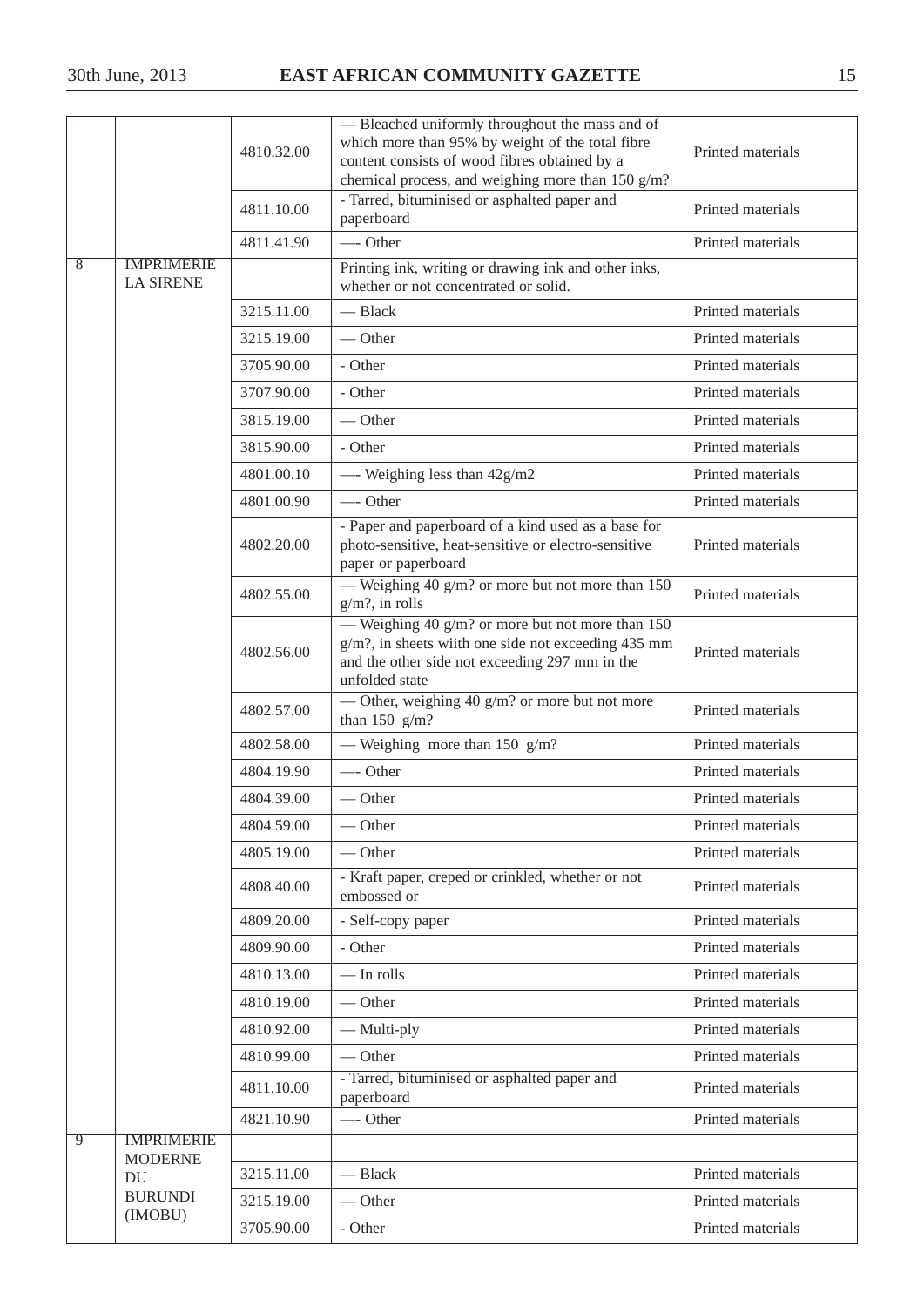|                | 4810.32.00                                                                                          |            | - Bleached uniformly throughout the mass and of<br>which more than 95% by weight of the total fibre<br>content consists of wood fibres obtained by a<br>chemical process, and weighing more than 150 g/m? | Printed materials |
|----------------|-----------------------------------------------------------------------------------------------------|------------|-----------------------------------------------------------------------------------------------------------------------------------------------------------------------------------------------------------|-------------------|
|                |                                                                                                     | 4811.10.00 | - Tarred, bituminised or asphalted paper and<br>paperboard                                                                                                                                                | Printed materials |
|                |                                                                                                     | 4811.41.90 | -Other                                                                                                                                                                                                    | Printed materials |
| $\overline{8}$ | <b>IMPRIMERIE</b><br><b>LA SIRENE</b>                                                               |            | Printing ink, writing or drawing ink and other inks,<br>whether or not concentrated or solid.                                                                                                             |                   |
|                |                                                                                                     | 3215.11.00 | - Black                                                                                                                                                                                                   | Printed materials |
|                |                                                                                                     | 3215.19.00 | $-$ Other                                                                                                                                                                                                 | Printed materials |
|                |                                                                                                     | 3705.90.00 | - Other                                                                                                                                                                                                   | Printed materials |
|                |                                                                                                     | 3707.90.00 | - Other                                                                                                                                                                                                   | Printed materials |
|                |                                                                                                     | 3815.19.00 | $-$ Other                                                                                                                                                                                                 | Printed materials |
|                |                                                                                                     | 3815.90.00 | - Other                                                                                                                                                                                                   | Printed materials |
|                |                                                                                                     | 4801.00.10 | - Weighing less than $42g/m2$                                                                                                                                                                             | Printed materials |
|                |                                                                                                     | 4801.00.90 | -Other                                                                                                                                                                                                    | Printed materials |
|                |                                                                                                     | 4802.20.00 | - Paper and paperboard of a kind used as a base for<br>photo-sensitive, heat-sensitive or electro-sensitive<br>paper or paperboard                                                                        | Printed materials |
|                |                                                                                                     | 4802.55.00 | — Weighing 40 g/m? or more but not more than 150<br>$g/m$ ?, in rolls                                                                                                                                     | Printed materials |
|                |                                                                                                     | 4802.56.00 | — Weighing 40 g/m? or more but not more than $150$<br>g/m?, in sheets wiith one side not exceeding 435 mm<br>and the other side not exceeding 297 mm in the<br>unfolded state                             | Printed materials |
|                |                                                                                                     | 4802.57.00 | — Other, weighing 40 $g/m$ ? or more but not more<br>than $150$ g/m?                                                                                                                                      | Printed materials |
|                |                                                                                                     | 4802.58.00 | — Weighing more than 150 $g/m$ ?                                                                                                                                                                          | Printed materials |
|                |                                                                                                     | 4804.19.90 | — Other                                                                                                                                                                                                   | Printed materials |
|                |                                                                                                     | 4804.39.00 | — Other                                                                                                                                                                                                   | Printed materials |
|                |                                                                                                     | 4804.59.00 | $-$ Other                                                                                                                                                                                                 | Printed materials |
|                |                                                                                                     | 4805.19.00 | $-$ Other                                                                                                                                                                                                 | Printed materials |
|                | 4808.40.00<br>embossed or                                                                           |            | - Kraft paper, creped or crinkled, whether or not                                                                                                                                                         | Printed materials |
|                |                                                                                                     | 4809.20.00 | - Self-copy paper                                                                                                                                                                                         | Printed materials |
|                |                                                                                                     | 4809.90.00 | - Other                                                                                                                                                                                                   | Printed materials |
|                |                                                                                                     | 4810.13.00 | $-$ In rolls                                                                                                                                                                                              | Printed materials |
|                |                                                                                                     | 4810.19.00 | $-$ Other                                                                                                                                                                                                 | Printed materials |
|                |                                                                                                     | 4810.92.00 | — Multi-ply                                                                                                                                                                                               | Printed materials |
|                | $-$ Other<br>4810.99.00<br>- Tarred, bituminised or asphalted paper and<br>4811.10.00<br>paperboard |            | Printed materials                                                                                                                                                                                         |                   |
|                |                                                                                                     |            | Printed materials                                                                                                                                                                                         |                   |
|                |                                                                                                     | 4821.10.90 | -Other                                                                                                                                                                                                    | Printed materials |
| 9              | <b>IMPRIMERIE</b><br><b>MODERNE</b>                                                                 |            |                                                                                                                                                                                                           |                   |
|                | $\mathop{\rm DU}\nolimits$                                                                          | 3215.11.00 | - Black                                                                                                                                                                                                   | Printed materials |
|                | <b>BURUNDI</b>                                                                                      | 3215.19.00 | — Other                                                                                                                                                                                                   | Printed materials |
|                | (IMOBU)                                                                                             | 3705.90.00 | - Other                                                                                                                                                                                                   | Printed materials |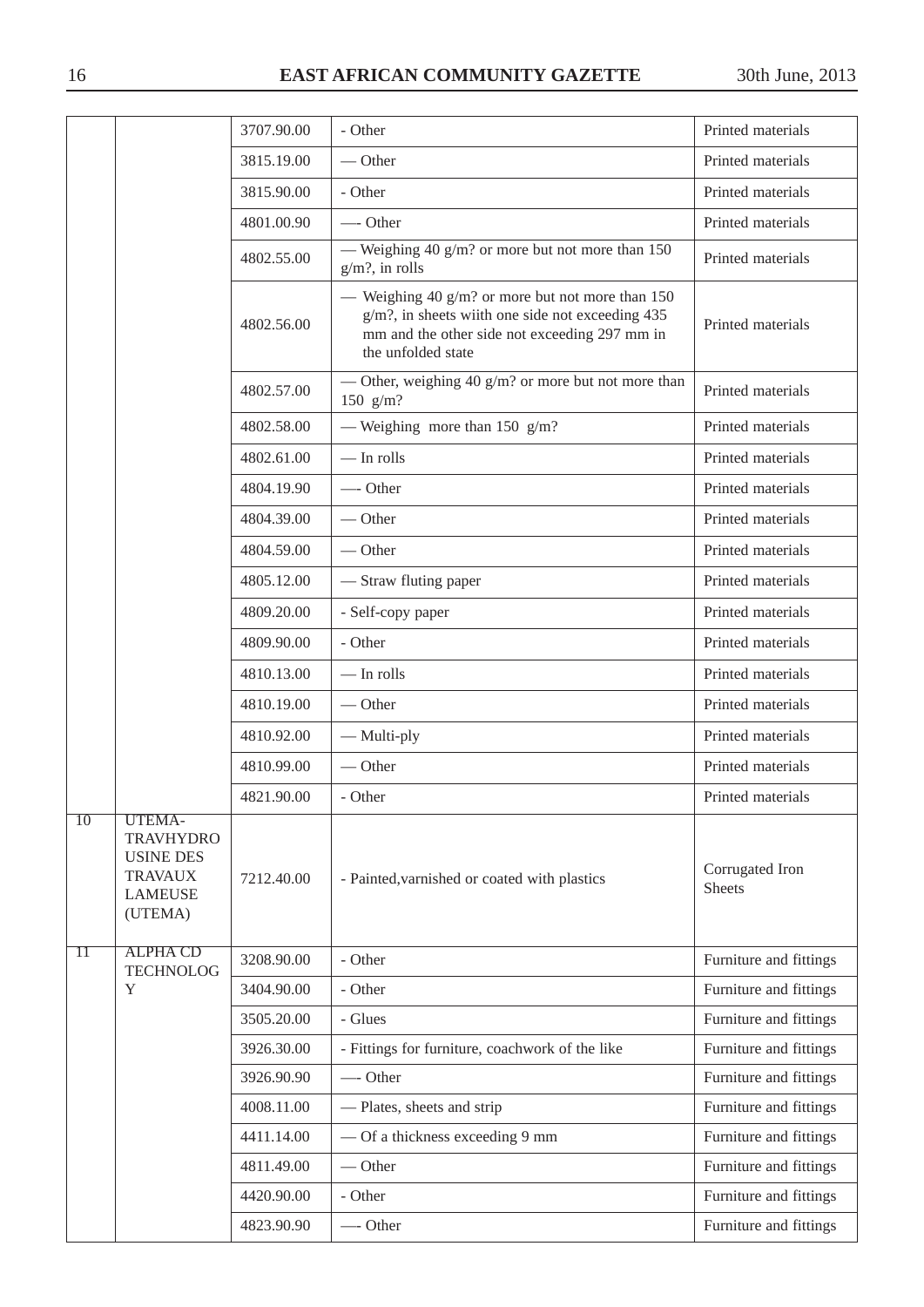|                 |                                                                                               | 3707.90.00 | - Other                                                                                                                                                                       | Printed materials                |
|-----------------|-----------------------------------------------------------------------------------------------|------------|-------------------------------------------------------------------------------------------------------------------------------------------------------------------------------|----------------------------------|
|                 |                                                                                               | 3815.19.00 | $-$ Other                                                                                                                                                                     | Printed materials                |
|                 |                                                                                               | 3815.90.00 | - Other                                                                                                                                                                       | Printed materials                |
|                 |                                                                                               | 4801.00.90 | -Other                                                                                                                                                                        | Printed materials                |
|                 |                                                                                               | 4802.55.00 | — Weighing 40 $g/m$ ? or more but not more than 150<br>$g/m$ ?, in rolls                                                                                                      | Printed materials                |
|                 |                                                                                               | 4802.56.00 | — Weighing 40 g/m? or more but not more than $150$<br>g/m?, in sheets wiith one side not exceeding 435<br>mm and the other side not exceeding 297 mm in<br>the unfolded state | Printed materials                |
|                 |                                                                                               | 4802.57.00 | — Other, weighing 40 $g/m$ ? or more but not more than<br>150 $g/m?$                                                                                                          | Printed materials                |
|                 |                                                                                               | 4802.58.00 | — Weighing more than 150 $g/m$ ?                                                                                                                                              | Printed materials                |
|                 |                                                                                               | 4802.61.00 | $-$ In rolls                                                                                                                                                                  | Printed materials                |
|                 |                                                                                               | 4804.19.90 | $\overline{\phantom{a}}$ Other                                                                                                                                                | Printed materials                |
|                 |                                                                                               | 4804.39.00 | $\overline{\phantom{a}}$ Other                                                                                                                                                | Printed materials                |
|                 |                                                                                               | 4804.59.00 | $-$ Other                                                                                                                                                                     | Printed materials                |
|                 |                                                                                               | 4805.12.00 | — Straw fluting paper                                                                                                                                                         | Printed materials                |
|                 |                                                                                               | 4809.20.00 | - Self-copy paper                                                                                                                                                             | Printed materials                |
|                 |                                                                                               | 4809.90.00 | - Other                                                                                                                                                                       | Printed materials                |
|                 |                                                                                               | 4810.13.00 | $-$ In rolls                                                                                                                                                                  | Printed materials                |
|                 |                                                                                               | 4810.19.00 | $\overline{\phantom{a}}$ Other                                                                                                                                                | Printed materials                |
|                 |                                                                                               | 4810.92.00 | — Multi-ply                                                                                                                                                                   | Printed materials                |
|                 |                                                                                               | 4810.99.00 | $-$ Other                                                                                                                                                                     | Printed materials                |
|                 |                                                                                               | 4821.90.00 | - Other                                                                                                                                                                       | Printed materials                |
| $\overline{10}$ | UTEMA-<br><b>TRAVHYDRO</b><br><b>USINE DES</b><br><b>TRAVAUX</b><br><b>LAMEUSE</b><br>(UTEMA) | 7212.40.00 | - Painted, varnished or coated with plastics                                                                                                                                  | Corrugated Iron<br><b>Sheets</b> |
| $\overline{11}$ | <b>ALPHA CD</b><br><b>TECHNOLOG</b>                                                           | 3208.90.00 | - Other                                                                                                                                                                       | Furniture and fittings           |
|                 | Y                                                                                             | 3404.90.00 | - Other                                                                                                                                                                       | Furniture and fittings           |
|                 |                                                                                               | 3505.20.00 | - Glues                                                                                                                                                                       | Furniture and fittings           |
|                 |                                                                                               | 3926.30.00 | - Fittings for furniture, coachwork of the like                                                                                                                               | Furniture and fittings           |
|                 |                                                                                               | 3926.90.90 | Other                                                                                                                                                                         | Furniture and fittings           |
|                 |                                                                                               | 4008.11.00 | - Plates, sheets and strip                                                                                                                                                    | Furniture and fittings           |
|                 |                                                                                               | 4411.14.00 | - Of a thickness exceeding 9 mm                                                                                                                                               | Furniture and fittings           |
|                 |                                                                                               | 4811.49.00 | $-$ Other                                                                                                                                                                     | Furniture and fittings           |
|                 |                                                                                               | 4420.90.00 | - Other                                                                                                                                                                       | Furniture and fittings           |
|                 |                                                                                               | 4823.90.90 | -Other                                                                                                                                                                        | Furniture and fittings           |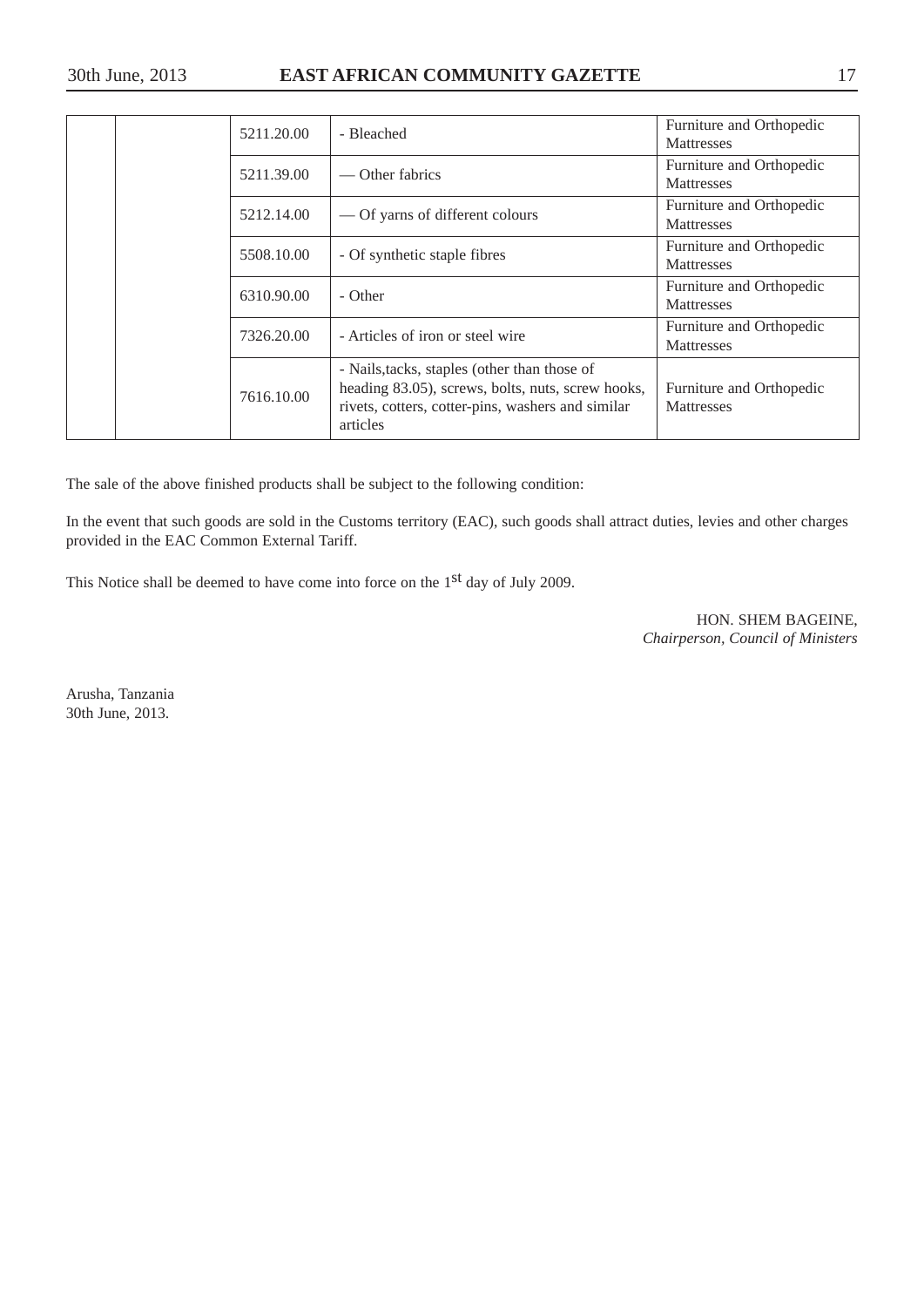#### 30th June, 2013 **EAST AFRICAN COMMUNITY GAZETTE** 17

|  |  | 5211.20.00               | - Bleached                                                                                                                                                         | Furniture and Orthopedic<br><b>Mattresses</b> |
|--|--|--------------------------|--------------------------------------------------------------------------------------------------------------------------------------------------------------------|-----------------------------------------------|
|  |  | 5211.39.00               | — Other fabrics                                                                                                                                                    | Furniture and Orthopedic<br><b>Mattresses</b> |
|  |  | 5212.14.00               | — Of yarns of different colours                                                                                                                                    | Furniture and Orthopedic<br>Mattresses        |
|  |  | 5508.10.00               | - Of synthetic staple fibres                                                                                                                                       | Furniture and Orthopedic<br><b>Mattresses</b> |
|  |  | 6310.90.00<br>7326.20.00 | - Other                                                                                                                                                            | Furniture and Orthopedic<br><b>Mattresses</b> |
|  |  |                          | - Articles of iron or steel wire                                                                                                                                   | Furniture and Orthopedic<br><b>Mattresses</b> |
|  |  | 7616.10.00               | - Nails, tacks, staples (other than those of<br>heading 83.05), screws, bolts, nuts, screw hooks,<br>rivets, cotters, cotter-pins, washers and similar<br>articles | Furniture and Orthopedic<br><b>Mattresses</b> |

The sale of the above finished products shall be subject to the following condition:

In the event that such goods are sold in the Customs territory (EAC), such goods shall attract duties, levies and other charges provided in the EAC Common External Tariff.

This Notice shall be deemed to have come into force on the 1<sup>st</sup> day of July 2009.

HON. SHEM BAGEINE, *Chairperson, Council of Ministers*

Arusha, Tanzania 30th June, 2013.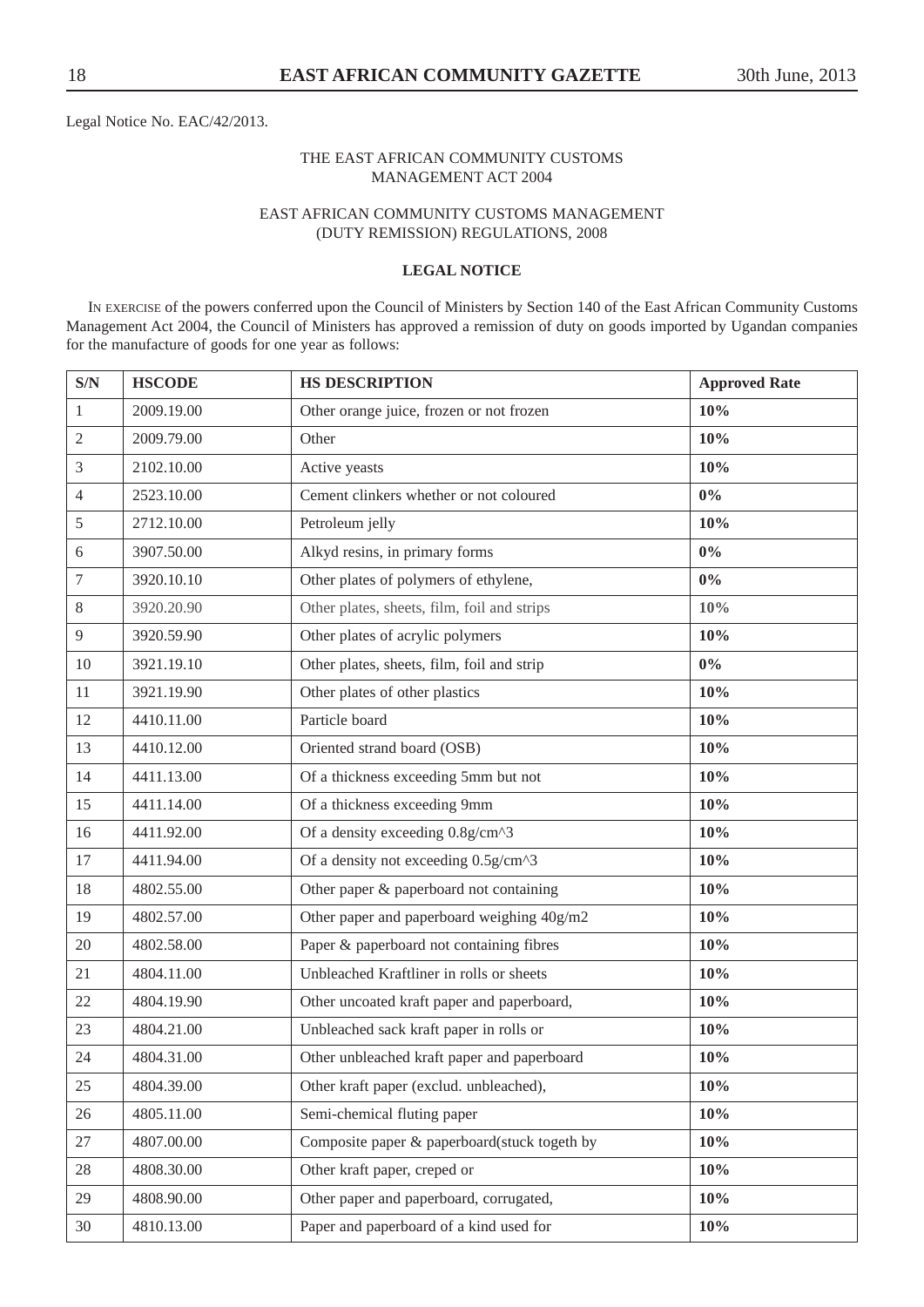Legal Notice No. EAC/42/2013.

#### THE EAST AFRICAN COMMUNITY CUSTOMS MANAGEMENT ACT 2004

#### EAST AFRICAN COMMUNITY CUSTOMS MANAGEMENT (DUTY REMISSION) REGULATIONS, 2008

#### **LEGAL NOTICE**

IN EXERCISE of the powers conferred upon the Council of Ministers by Section 140 of the East African Community Customs Management Act 2004, the Council of Ministers has approved a remission of duty on goods imported by Ugandan companies for the manufacture of goods for one year as follows:

| S/N              | <b>HSCODE</b> | <b>HS DESCRIPTION</b>                        | <b>Approved Rate</b> |
|------------------|---------------|----------------------------------------------|----------------------|
| $\mathbf{1}$     | 2009.19.00    | Other orange juice, frozen or not frozen     | 10%                  |
| $\overline{2}$   | 2009.79.00    | Other                                        | 10%                  |
| 3                | 2102.10.00    | Active yeasts                                | 10%                  |
| $\overline{4}$   | 2523.10.00    | Cement clinkers whether or not coloured      | $0\%$                |
| 5                | 2712.10.00    | Petroleum jelly                              | 10%                  |
| 6                | 3907.50.00    | Alkyd resins, in primary forms               | $0\%$                |
| $\boldsymbol{7}$ | 3920.10.10    | Other plates of polymers of ethylene,        | $0\%$                |
| 8                | 3920.20.90    | Other plates, sheets, film, foil and strips  | 10%                  |
| 9                | 3920.59.90    | Other plates of acrylic polymers             | 10%                  |
| 10               | 3921.19.10    | Other plates, sheets, film, foil and strip   | $0\%$                |
| 11               | 3921.19.90    | Other plates of other plastics               | 10%                  |
| 12               | 4410.11.00    | Particle board                               | 10%                  |
| 13               | 4410.12.00    | Oriented strand board (OSB)                  | 10%                  |
| 14               | 4411.13.00    | Of a thickness exceeding 5mm but not         | 10%                  |
| 15               | 4411.14.00    | Of a thickness exceeding 9mm                 | 10%                  |
| 16               | 4411.92.00    | Of a density exceeding 0.8g/cm^3             | 10%                  |
| 17               | 4411.94.00    | Of a density not exceeding 0.5g/cm^3         | 10%                  |
| 18               | 4802.55.00    | Other paper & paperboard not containing      | 10%                  |
| 19               | 4802.57.00    | Other paper and paperboard weighing 40g/m2   | 10%                  |
| 20               | 4802.58.00    | Paper & paperboard not containing fibres     | 10%                  |
| 21               | 4804.11.00    | Unbleached Kraftliner in rolls or sheets     | 10%                  |
| 22               | 4804.19.90    | Other uncoated kraft paper and paperboard,   | 10%                  |
| 23               | 4804.21.00    | Unbleached sack kraft paper in rolls or      | 10%                  |
| 24               | 4804.31.00    | Other unbleached kraft paper and paperboard  | 10%                  |
| 25               | 4804.39.00    | Other kraft paper (exclud. unbleached),      | 10%                  |
| 26               | 4805.11.00    | Semi-chemical fluting paper                  | 10%                  |
| 27               | 4807.00.00    | Composite paper & paperboard(stuck togeth by | 10%                  |
| 28               | 4808.30.00    | Other kraft paper, creped or                 | 10%                  |
| 29               | 4808.90.00    | Other paper and paperboard, corrugated,      | 10%                  |
| 30               | 4810.13.00    | Paper and paperboard of a kind used for      | 10%                  |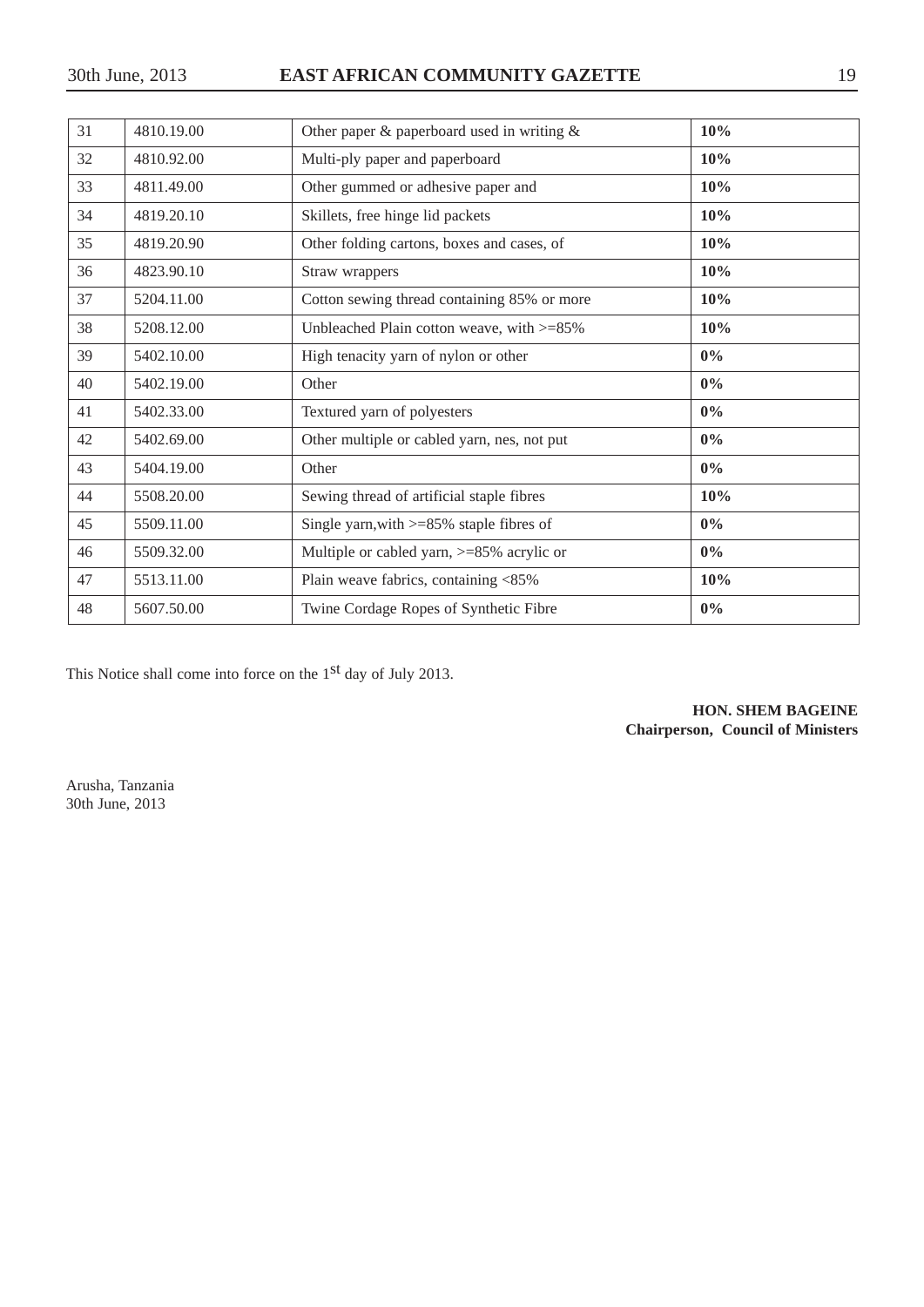| 31 | 4810.19.00 | Other paper $\&$ paperboard used in writing $\&$ | 10%   |
|----|------------|--------------------------------------------------|-------|
| 32 | 4810.92.00 | Multi-ply paper and paperboard                   | 10%   |
| 33 | 4811.49.00 | Other gummed or adhesive paper and               | 10%   |
| 34 | 4819.20.10 | Skillets, free hinge lid packets                 | 10%   |
| 35 | 4819.20.90 | Other folding cartons, boxes and cases, of       | 10%   |
| 36 | 4823.90.10 | Straw wrappers                                   | 10%   |
| 37 | 5204.11.00 | Cotton sewing thread containing 85% or more      | 10%   |
| 38 | 5208.12.00 | Unbleached Plain cotton weave, with $>=85\%$     | 10%   |
| 39 | 5402.10.00 | High tenacity yarn of nylon or other             | $0\%$ |
| 40 | 5402.19.00 | Other                                            | $0\%$ |
| 41 | 5402.33.00 | Textured yarn of polyesters                      | $0\%$ |
| 42 | 5402.69.00 | Other multiple or cabled yarn, nes, not put      | $0\%$ |
| 43 | 5404.19.00 | Other                                            | $0\%$ |
| 44 | 5508.20.00 | Sewing thread of artificial staple fibres        | 10%   |
| 45 | 5509.11.00 | Single yarn, with $>= 85\%$ staple fibres of     | $0\%$ |
| 46 | 5509.32.00 | Multiple or cabled yarn, $>= 85\%$ acrylic or    | $0\%$ |
| 47 | 5513.11.00 | Plain weave fabrics, containing <85%             | 10%   |
| 48 | 5607.50.00 | Twine Cordage Ropes of Synthetic Fibre           | $0\%$ |

This Notice shall come into force on the 1st day of July 2013.

**HON. SHEM BAGEINE Chairperson, Council of Ministers**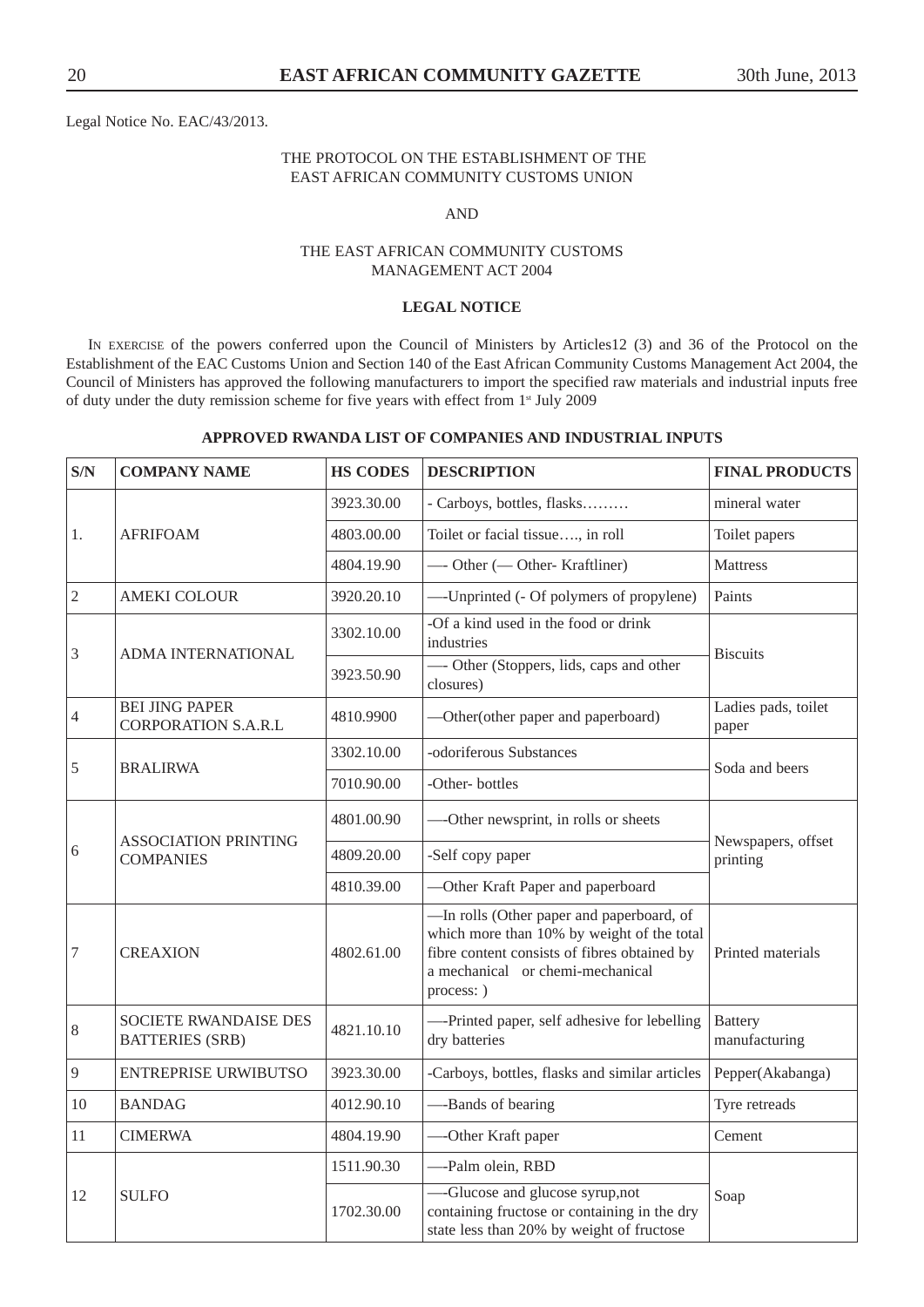Legal Notice No. EAC/43/2013.

#### THE PROTOCOL ON THE ESTABLISHMENT OF THE EAST AFRICAN COMMUNITY CUSTOMS UNION

#### AND

#### THE EAST AFRICAN COMMUNITY CUSTOMS MANAGEMENT ACT 2004

#### **LEGAL NOTICE**

IN EXERCISE of the powers conferred upon the Council of Ministers by Articles12 (3) and 36 of the Protocol on the Establishment of the EAC Customs Union and Section 140 of the East African Community Customs Management Act 2004, the Council of Ministers has approved the following manufacturers to import the specified raw materials and industrial inputs free of duty under the duty remission scheme for five years with effect from 1<sup>st</sup> July 2009

#### **APPROVED RWANDA LIST OF COMPANIES AND INDUSTRIAL INPUTS**

| S/N            | <b>COMPANY NAME</b>                                    | <b>HS CODES</b> | <b>DESCRIPTION</b>                                                                                                                                                                        | <b>FINAL PRODUCTS</b>           |
|----------------|--------------------------------------------------------|-----------------|-------------------------------------------------------------------------------------------------------------------------------------------------------------------------------------------|---------------------------------|
|                |                                                        | 3923.30.00      | - Carboys, bottles, flasks                                                                                                                                                                | mineral water                   |
| 1.             | <b>AFRIFOAM</b>                                        | 4803.00.00      | Toilet or facial tissue, in roll                                                                                                                                                          | Toilet papers                   |
|                |                                                        | 4804.19.90      | -Other (-Other-Kraftliner)                                                                                                                                                                | <b>Mattress</b>                 |
| $\overline{2}$ | <b>AMEKI COLOUR</b>                                    | 3920.20.10      | --- Unprinted (- Of polymers of propylene)                                                                                                                                                | Paints                          |
| 3              | ADMA INTERNATIONAL                                     | 3302.10.00      | -Of a kind used in the food or drink<br>industries                                                                                                                                        | <b>Biscuits</b>                 |
|                |                                                        | 3923.50.90      | - Other (Stoppers, lids, caps and other<br>closures)                                                                                                                                      |                                 |
| $\overline{4}$ | <b>BEI JING PAPER</b><br><b>CORPORATION S.A.R.L</b>    | 4810.9900       | -Other(other paper and paperboard)                                                                                                                                                        | Ladies pads, toilet<br>paper    |
| 5              | <b>BRALIRWA</b>                                        | 3302.10.00      | -odoriferous Substances                                                                                                                                                                   | Soda and beers                  |
|                |                                                        | 7010.90.00      | -Other-bottles                                                                                                                                                                            |                                 |
|                | <b>ASSOCIATION PRINTING</b><br><b>COMPANIES</b>        | 4801.00.90      | -Other newsprint, in rolls or sheets                                                                                                                                                      | Newspapers, offset<br>printing  |
| 6              |                                                        | 4809.20.00      | -Self copy paper                                                                                                                                                                          |                                 |
|                |                                                        | 4810.39.00      | -Other Kraft Paper and paperboard                                                                                                                                                         |                                 |
| $\overline{7}$ | <b>CREAXION</b>                                        | 4802.61.00      | -In rolls (Other paper and paperboard, of<br>which more than 10% by weight of the total<br>fibre content consists of fibres obtained by<br>a mechanical or chemi-mechanical<br>process: ) | Printed materials               |
| $\,8\,$        | <b>SOCIETE RWANDAISE DES</b><br><b>BATTERIES (SRB)</b> | 4821.10.10      | ---Printed paper, self adhesive for lebelling<br>dry batteries                                                                                                                            | <b>Battery</b><br>manufacturing |
| 9              | <b>ENTREPRISE URWIBUTSO</b>                            | 3923.30.00      | -Carboys, bottles, flasks and similar articles                                                                                                                                            | Pepper(Akabanga)                |
| 10             | <b>BANDAG</b>                                          | 4012.90.10      | --Bands of bearing                                                                                                                                                                        | Tyre retreads                   |
| 11             | <b>CIMERWA</b>                                         | 4804.19.90      | --Other Kraft paper                                                                                                                                                                       | Cement                          |
|                |                                                        | 1511.90.30      | --Palm olein, RBD                                                                                                                                                                         |                                 |
| 12             | <b>SULFO</b>                                           | 1702.30.00      | -Glucose and glucose syrup, not<br>containing fructose or containing in the dry<br>state less than 20% by weight of fructose                                                              | Soap                            |